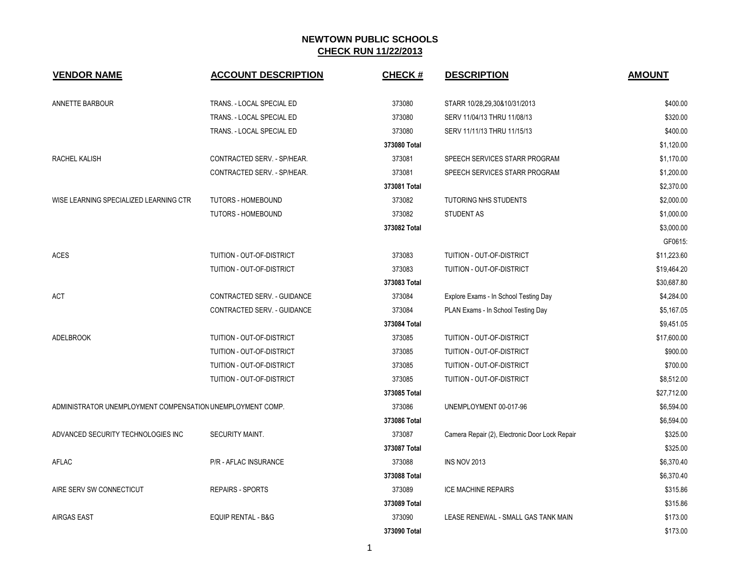| <b>VENDOR NAME</b>                                         | <b>ACCOUNT DESCRIPTION</b>    | <b>CHECK#</b> | <b>DESCRIPTION</b>                             | <b>AMOUNT</b> |
|------------------------------------------------------------|-------------------------------|---------------|------------------------------------------------|---------------|
| ANNETTE BARBOUR                                            | TRANS. - LOCAL SPECIAL ED     | 373080        | STARR 10/28,29,30&10/31/2013                   | \$400.00      |
|                                                            | TRANS. - LOCAL SPECIAL ED     | 373080        | SERV 11/04/13 THRU 11/08/13                    | \$320.00      |
|                                                            | TRANS. - LOCAL SPECIAL ED     | 373080        | SERV 11/11/13 THRU 11/15/13                    | \$400.00      |
|                                                            |                               | 373080 Total  |                                                | \$1,120.00    |
| RACHEL KALISH                                              | CONTRACTED SERV. - SP/HEAR.   | 373081        | SPEECH SERVICES STARR PROGRAM                  | \$1,170.00    |
|                                                            | CONTRACTED SERV. - SP/HEAR.   | 373081        | SPEECH SERVICES STARR PROGRAM                  | \$1,200.00    |
|                                                            |                               | 373081 Total  |                                                | \$2,370.00    |
| WISE LEARNING SPECIALIZED LEARNING CTR                     | <b>TUTORS - HOMEBOUND</b>     | 373082        | <b>TUTORING NHS STUDENTS</b>                   | \$2,000.00    |
|                                                            | <b>TUTORS - HOMEBOUND</b>     | 373082        | <b>STUDENT AS</b>                              | \$1,000.00    |
|                                                            |                               | 373082 Total  |                                                | \$3,000.00    |
|                                                            |                               |               |                                                | GF0615:       |
| <b>ACES</b>                                                | TUITION - OUT-OF-DISTRICT     | 373083        | TUITION - OUT-OF-DISTRICT                      | \$11,223.60   |
|                                                            | TUITION - OUT-OF-DISTRICT     | 373083        | TUITION - OUT-OF-DISTRICT                      | \$19,464.20   |
|                                                            |                               | 373083 Total  |                                                | \$30,687.80   |
| <b>ACT</b>                                                 | CONTRACTED SERV. - GUIDANCE   | 373084        | Explore Exams - In School Testing Day          | \$4,284.00    |
|                                                            | CONTRACTED SERV. - GUIDANCE   | 373084        | PLAN Exams - In School Testing Day             | \$5,167.05    |
|                                                            |                               | 373084 Total  |                                                | \$9,451.05    |
| <b>ADELBROOK</b>                                           | TUITION - OUT-OF-DISTRICT     | 373085        | TUITION - OUT-OF-DISTRICT                      | \$17,600.00   |
|                                                            | TUITION - OUT-OF-DISTRICT     | 373085        | TUITION - OUT-OF-DISTRICT                      | \$900.00      |
|                                                            | TUITION - OUT-OF-DISTRICT     | 373085        | TUITION - OUT-OF-DISTRICT                      | \$700.00      |
|                                                            | TUITION - OUT-OF-DISTRICT     | 373085        | <b>TUITION - OUT-OF-DISTRICT</b>               | \$8,512.00    |
|                                                            |                               | 373085 Total  |                                                | \$27,712.00   |
| ADMINISTRATOR UNEMPLOYMENT COMPENSATION UNEMPLOYMENT COMP. |                               | 373086        | UNEMPLOYMENT 00-017-96                         | \$6,594.00    |
|                                                            |                               | 373086 Total  |                                                | \$6,594.00    |
| ADVANCED SECURITY TECHNOLOGIES INC                         | SECURITY MAINT.               | 373087        | Camera Repair (2), Electronic Door Lock Repair | \$325.00      |
|                                                            |                               | 373087 Total  |                                                | \$325.00      |
| AFLAC                                                      | P/R - AFLAC INSURANCE         | 373088        | <b>INS NOV 2013</b>                            | \$6,370.40    |
|                                                            |                               | 373088 Total  |                                                | \$6,370.40    |
| AIRE SERV SW CONNECTICUT                                   | <b>REPAIRS - SPORTS</b>       | 373089        | <b>ICE MACHINE REPAIRS</b>                     | \$315.86      |
|                                                            |                               | 373089 Total  |                                                | \$315.86      |
| <b>AIRGAS EAST</b>                                         | <b>EQUIP RENTAL - B&amp;G</b> | 373090        | LEASE RENEWAL - SMALL GAS TANK MAIN            | \$173.00      |
|                                                            |                               | 373090 Total  |                                                | \$173.00      |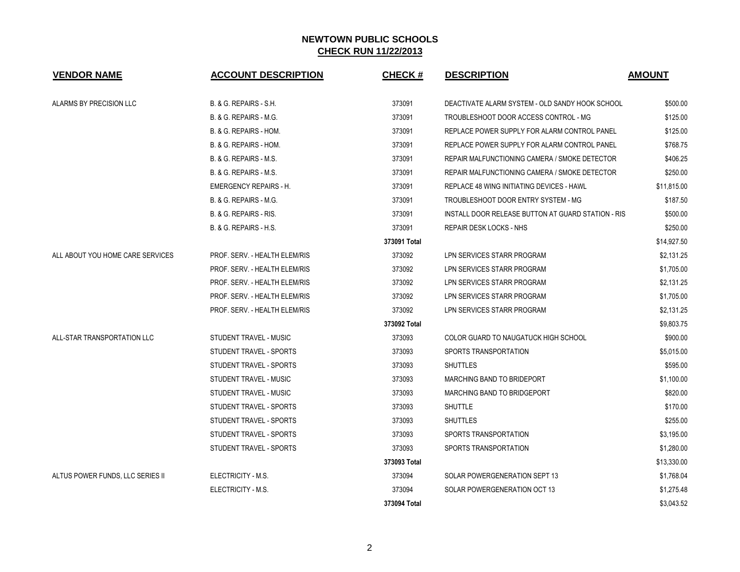| <b>VENDOR NAME</b>               | <b>ACCOUNT DESCRIPTION</b>    | <b>CHECK#</b> | <b>DESCRIPTION</b>                                 | <b>AMOUNT</b> |
|----------------------------------|-------------------------------|---------------|----------------------------------------------------|---------------|
| ALARMS BY PRECISION LLC          | B. & G. REPAIRS - S.H.        | 373091        | DEACTIVATE ALARM SYSTEM - OLD SANDY HOOK SCHOOL    | \$500.00      |
|                                  | B. & G. REPAIRS - M.G.        | 373091        | TROUBLESHOOT DOOR ACCESS CONTROL - MG              | \$125.00      |
|                                  | B. & G. REPAIRS - HOM.        | 373091        | REPLACE POWER SUPPLY FOR ALARM CONTROL PANEL       | \$125.00      |
|                                  | B. & G. REPAIRS - HOM.        | 373091        | REPLACE POWER SUPPLY FOR ALARM CONTROL PANEL       | \$768.75      |
|                                  | B. & G. REPAIRS - M.S.        | 373091        | REPAIR MALFUNCTIONING CAMERA / SMOKE DETECTOR      | \$406.25      |
|                                  | B. & G. REPAIRS - M.S.        | 373091        | REPAIR MALFUNCTIONING CAMERA / SMOKE DETECTOR      | \$250.00      |
|                                  | <b>EMERGENCY REPAIRS - H.</b> | 373091        | REPLACE 48 WING INITIATING DEVICES - HAWL          | \$11,815.00   |
|                                  | B. & G. REPAIRS - M.G.        | 373091        | TROUBLESHOOT DOOR ENTRY SYSTEM - MG                | \$187.50      |
|                                  | B. & G. REPAIRS - RIS.        | 373091        | INSTALL DOOR RELEASE BUTTON AT GUARD STATION - RIS | \$500.00      |
|                                  | B. & G. REPAIRS - H.S.        | 373091        | REPAIR DESK LOCKS - NHS                            | \$250.00      |
|                                  |                               | 373091 Total  |                                                    | \$14,927.50   |
| ALL ABOUT YOU HOME CARE SERVICES | PROF. SERV. - HEALTH ELEM/RIS | 373092        | LPN SERVICES STARR PROGRAM                         | \$2,131.25    |
|                                  | PROF. SERV. - HEALTH ELEM/RIS | 373092        | LPN SERVICES STARR PROGRAM                         | \$1,705.00    |
|                                  | PROF. SERV. - HEALTH ELEM/RIS | 373092        | LPN SERVICES STARR PROGRAM                         | \$2,131.25    |
|                                  | PROF. SERV. - HEALTH ELEM/RIS | 373092        | LPN SERVICES STARR PROGRAM                         | \$1,705.00    |
|                                  | PROF. SERV. - HEALTH ELEM/RIS | 373092        | LPN SERVICES STARR PROGRAM                         | \$2,131.25    |
|                                  |                               | 373092 Total  |                                                    | \$9,803.75    |
| ALL-STAR TRANSPORTATION LLC      | STUDENT TRAVEL - MUSIC        | 373093        | COLOR GUARD TO NAUGATUCK HIGH SCHOOL               | \$900.00      |
|                                  | STUDENT TRAVEL - SPORTS       | 373093        | SPORTS TRANSPORTATION                              | \$5,015.00    |
|                                  | STUDENT TRAVEL - SPORTS       | 373093        | <b>SHUTTLES</b>                                    | \$595.00      |
|                                  | STUDENT TRAVEL - MUSIC        | 373093        | MARCHING BAND TO BRIDEPORT                         | \$1,100.00    |
|                                  | STUDENT TRAVEL - MUSIC        | 373093        | MARCHING BAND TO BRIDGEPORT                        | \$820.00      |
|                                  | STUDENT TRAVEL - SPORTS       | 373093        | <b>SHUTTLE</b>                                     | \$170.00      |
|                                  | STUDENT TRAVEL - SPORTS       | 373093        | <b>SHUTTLES</b>                                    | \$255.00      |
|                                  | STUDENT TRAVEL - SPORTS       | 373093        | SPORTS TRANSPORTATION                              | \$3,195.00    |
|                                  | STUDENT TRAVEL - SPORTS       | 373093        | SPORTS TRANSPORTATION                              | \$1,280.00    |
|                                  |                               | 373093 Total  |                                                    | \$13,330.00   |
| ALTUS POWER FUNDS, LLC SERIES II | ELECTRICITY - M.S.            | 373094        | SOLAR POWERGENERATION SEPT 13                      | \$1,768.04    |
|                                  | ELECTRICITY - M.S.            | 373094        | SOLAR POWERGENERATION OCT 13                       | \$1,275.48    |
|                                  |                               | 373094 Total  |                                                    | \$3.043.52    |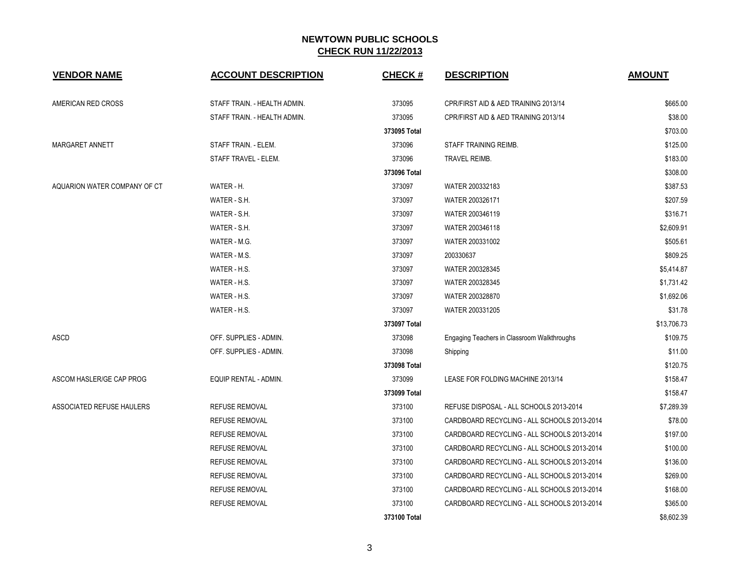| <b>VENDOR NAME</b>           | <b>ACCOUNT DESCRIPTION</b>   | <b>CHECK#</b> | <b>DESCRIPTION</b>                          | <b>AMOUNT</b> |
|------------------------------|------------------------------|---------------|---------------------------------------------|---------------|
| AMERICAN RED CROSS           | STAFF TRAIN. - HEALTH ADMIN. | 373095        | CPR/FIRST AID & AED TRAINING 2013/14        | \$665.00      |
|                              | STAFF TRAIN. - HEALTH ADMIN. | 373095        | CPR/FIRST AID & AED TRAINING 2013/14        | \$38.00       |
|                              |                              | 373095 Total  |                                             | \$703.00      |
| MARGARET ANNETT              | STAFF TRAIN. - ELEM.         | 373096        | <b>STAFF TRAINING REIMB.</b>                | \$125.00      |
|                              | STAFF TRAVEL - ELEM.         | 373096        | TRAVEL REIMB.                               | \$183.00      |
|                              |                              | 373096 Total  |                                             | \$308.00      |
| AQUARION WATER COMPANY OF CT | WATER - H.                   | 373097        | WATER 200332183                             | \$387.53      |
|                              | WATER - S.H.                 | 373097        | WATER 200326171                             | \$207.59      |
|                              | WATER - S.H.                 | 373097        | WATER 200346119                             | \$316.71      |
|                              | WATER - S.H.                 | 373097        | WATER 200346118                             | \$2,609.91    |
|                              | WATER - M.G.                 | 373097        | WATER 200331002                             | \$505.61      |
|                              | WATER - M.S.                 | 373097        | 200330637                                   | \$809.25      |
|                              | WATER - H.S.                 | 373097        | WATER 200328345                             | \$5,414.87    |
|                              | WATER - H.S.                 | 373097        | WATER 200328345                             | \$1,731.42    |
|                              | WATER - H.S.                 | 373097        | WATER 200328870                             | \$1,692.06    |
|                              | WATER - H.S.                 | 373097        | WATER 200331205                             | \$31.78       |
|                              |                              | 373097 Total  |                                             | \$13,706.73   |
| <b>ASCD</b>                  | OFF. SUPPLIES - ADMIN.       | 373098        | Engaging Teachers in Classroom Walkthroughs | \$109.75      |
|                              | OFF. SUPPLIES - ADMIN.       | 373098        | Shipping                                    | \$11.00       |
|                              |                              | 373098 Total  |                                             | \$120.75      |
| ASCOM HASLER/GE CAP PROG     | EQUIP RENTAL - ADMIN.        | 373099        | LEASE FOR FOLDING MACHINE 2013/14           | \$158.47      |
|                              |                              | 373099 Total  |                                             | \$158.47      |
| ASSOCIATED REFUSE HAULERS    | <b>REFUSE REMOVAL</b>        | 373100        | REFUSE DISPOSAL - ALL SCHOOLS 2013-2014     | \$7,289.39    |
|                              | REFUSE REMOVAL               | 373100        | CARDBOARD RECYCLING - ALL SCHOOLS 2013-2014 | \$78.00       |
|                              | <b>REFUSE REMOVAL</b>        | 373100        | CARDBOARD RECYCLING - ALL SCHOOLS 2013-2014 | \$197.00      |
|                              | <b>REFUSE REMOVAL</b>        | 373100        | CARDBOARD RECYCLING - ALL SCHOOLS 2013-2014 | \$100.00      |
|                              | <b>REFUSE REMOVAL</b>        | 373100        | CARDBOARD RECYCLING - ALL SCHOOLS 2013-2014 | \$136.00      |
|                              | <b>REFUSE REMOVAL</b>        | 373100        | CARDBOARD RECYCLING - ALL SCHOOLS 2013-2014 | \$269.00      |
|                              | REFUSE REMOVAL               | 373100        | CARDBOARD RECYCLING - ALL SCHOOLS 2013-2014 | \$168.00      |
|                              | <b>REFUSE REMOVAL</b>        | 373100        | CARDBOARD RECYCLING - ALL SCHOOLS 2013-2014 | \$365.00      |
|                              |                              | 373100 Total  |                                             | \$8,602.39    |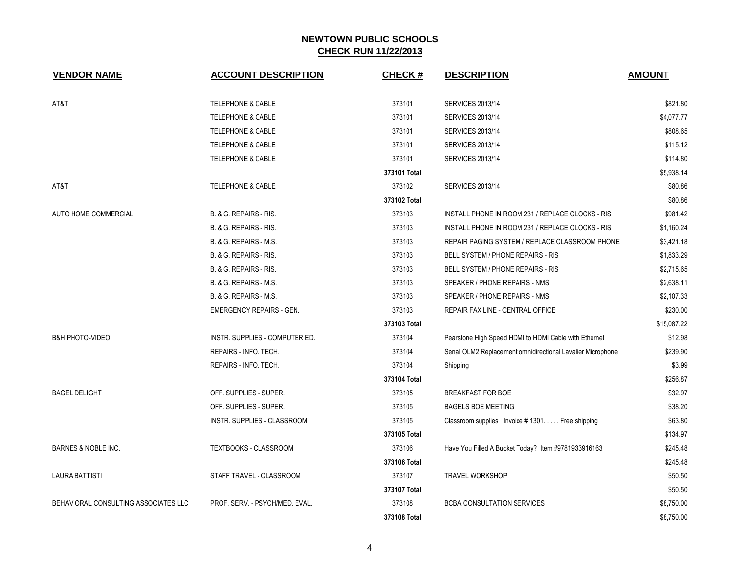| <b>VENDOR NAME</b>                   | <b>ACCOUNT DESCRIPTION</b>      | <b>CHECK#</b> | <b>DESCRIPTION</b>                                         | <b>AMOUNT</b> |
|--------------------------------------|---------------------------------|---------------|------------------------------------------------------------|---------------|
| AT&T                                 | TELEPHONE & CABLE               | 373101        | <b>SERVICES 2013/14</b>                                    | \$821.80      |
|                                      | <b>TELEPHONE &amp; CABLE</b>    | 373101        | <b>SERVICES 2013/14</b>                                    | \$4,077.77    |
|                                      | <b>TELEPHONE &amp; CABLE</b>    | 373101        | <b>SERVICES 2013/14</b>                                    | \$808.65      |
|                                      | <b>TELEPHONE &amp; CABLE</b>    | 373101        | <b>SERVICES 2013/14</b>                                    | \$115.12      |
|                                      | <b>TELEPHONE &amp; CABLE</b>    | 373101        | <b>SERVICES 2013/14</b>                                    | \$114.80      |
|                                      |                                 | 373101 Total  |                                                            | \$5,938.14    |
| AT&T                                 | <b>TELEPHONE &amp; CABLE</b>    | 373102        | <b>SERVICES 2013/14</b>                                    | \$80.86       |
|                                      |                                 | 373102 Total  |                                                            | \$80.86       |
| AUTO HOME COMMERCIAL                 | B. & G. REPAIRS - RIS.          | 373103        | INSTALL PHONE IN ROOM 231 / REPLACE CLOCKS - RIS           | \$981.42      |
|                                      | B. & G. REPAIRS - RIS.          | 373103        | INSTALL PHONE IN ROOM 231 / REPLACE CLOCKS - RIS           | \$1,160.24    |
|                                      | B. & G. REPAIRS - M.S.          | 373103        | REPAIR PAGING SYSTEM / REPLACE CLASSROOM PHONE             | \$3,421.18    |
|                                      | B. & G. REPAIRS - RIS.          | 373103        | BELL SYSTEM / PHONE REPAIRS - RIS                          | \$1,833.29    |
|                                      | B. & G. REPAIRS - RIS.          | 373103        | BELL SYSTEM / PHONE REPAIRS - RIS                          | \$2,715.65    |
|                                      | B. & G. REPAIRS - M.S.          | 373103        | SPEAKER / PHONE REPAIRS - NMS                              | \$2,638.11    |
|                                      | B. & G. REPAIRS - M.S.          | 373103        | SPEAKER / PHONE REPAIRS - NMS                              | \$2,107.33    |
|                                      | <b>EMERGENCY REPAIRS - GEN.</b> | 373103        | REPAIR FAX LINE - CENTRAL OFFICE                           | \$230.00      |
|                                      |                                 | 373103 Total  |                                                            | \$15,087.22   |
| <b>B&amp;H PHOTO-VIDEO</b>           | INSTR. SUPPLIES - COMPUTER ED.  | 373104        | Pearstone High Speed HDMI to HDMI Cable with Ethernet      | \$12.98       |
|                                      | REPAIRS - INFO. TECH.           | 373104        | Senal OLM2 Replacement omnidirectional Lavalier Microphone | \$239.90      |
|                                      | REPAIRS - INFO. TECH.           | 373104        | Shipping                                                   | \$3.99        |
|                                      |                                 | 373104 Total  |                                                            | \$256.87      |
| <b>BAGEL DELIGHT</b>                 | OFF. SUPPLIES - SUPER.          | 373105        | <b>BREAKFAST FOR BOE</b>                                   | \$32.97       |
|                                      | OFF. SUPPLIES - SUPER.          | 373105        | <b>BAGELS BOE MEETING</b>                                  | \$38.20       |
|                                      | INSTR. SUPPLIES - CLASSROOM     | 373105        | Classroom supplies Invoice #1301 Free shipping             | \$63.80       |
|                                      |                                 | 373105 Total  |                                                            | \$134.97      |
| <b>BARNES &amp; NOBLE INC.</b>       | TEXTBOOKS - CLASSROOM           | 373106        | Have You Filled A Bucket Today? Item #9781933916163        | \$245.48      |
|                                      |                                 | 373106 Total  |                                                            | \$245.48      |
| <b>LAURA BATTISTI</b>                | STAFF TRAVEL - CLASSROOM        | 373107        | <b>TRAVEL WORKSHOP</b>                                     | \$50.50       |
|                                      |                                 | 373107 Total  |                                                            | \$50.50       |
| BEHAVIORAL CONSULTING ASSOCIATES LLC | PROF. SERV. - PSYCH/MED. EVAL.  | 373108        | <b>BCBA CONSULTATION SERVICES</b>                          | \$8,750.00    |
|                                      |                                 | 373108 Total  |                                                            | \$8,750.00    |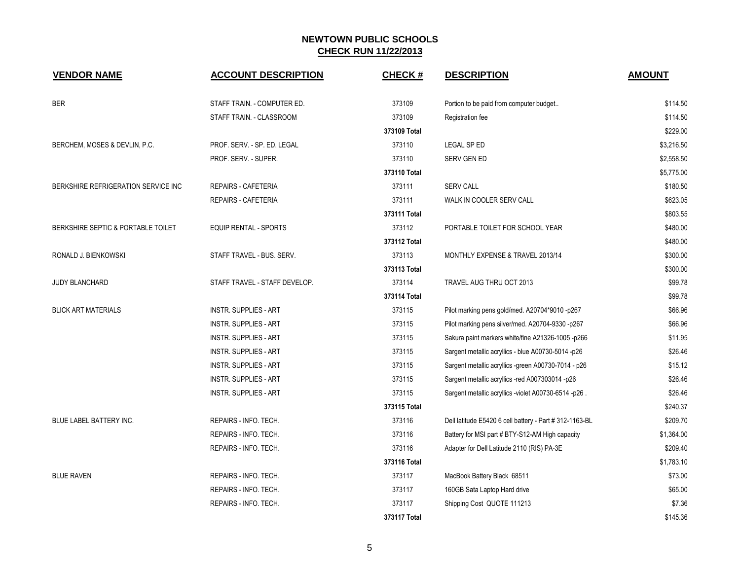| <b>VENDOR NAME</b>                  | <b>ACCOUNT DESCRIPTION</b>    | <b>CHECK#</b> | <b>DESCRIPTION</b>                                      | <b>AMOUNT</b> |
|-------------------------------------|-------------------------------|---------------|---------------------------------------------------------|---------------|
| <b>BER</b>                          | STAFF TRAIN. - COMPUTER ED.   | 373109        | Portion to be paid from computer budget                 | \$114.50      |
|                                     | STAFF TRAIN. - CLASSROOM      | 373109        | Registration fee                                        | \$114.50      |
|                                     |                               | 373109 Total  |                                                         | \$229.00      |
| BERCHEM, MOSES & DEVLIN, P.C.       | PROF. SERV. - SP. ED. LEGAL   | 373110        | <b>LEGAL SPED</b>                                       | \$3,216.50    |
|                                     | PROF. SERV. - SUPER.          | 373110        | <b>SERV GEN ED</b>                                      | \$2,558.50    |
|                                     |                               | 373110 Total  |                                                         | \$5,775.00    |
| BERKSHIRE REFRIGERATION SERVICE INC | <b>REPAIRS - CAFETERIA</b>    | 373111        | <b>SERV CALL</b>                                        | \$180.50      |
|                                     | REPAIRS - CAFETERIA           | 373111        | WALK IN COOLER SERV CALL                                | \$623.05      |
|                                     |                               | 373111 Total  |                                                         | \$803.55      |
| BERKSHIRE SEPTIC & PORTABLE TOILET  | EQUIP RENTAL - SPORTS         | 373112        | PORTABLE TOILET FOR SCHOOL YEAR                         | \$480.00      |
|                                     |                               | 373112 Total  |                                                         | \$480.00      |
| RONALD J. BIENKOWSKI                | STAFF TRAVEL - BUS. SERV.     | 373113        | MONTHLY EXPENSE & TRAVEL 2013/14                        | \$300.00      |
|                                     |                               | 373113 Total  |                                                         | \$300.00      |
| JUDY BLANCHARD                      | STAFF TRAVEL - STAFF DEVELOP. | 373114        | TRAVEL AUG THRU OCT 2013                                | \$99.78       |
|                                     |                               | 373114 Total  |                                                         | \$99.78       |
| <b>BLICK ART MATERIALS</b>          | <b>INSTR. SUPPLIES - ART</b>  | 373115        | Pilot marking pens gold/med. A20704*9010 -p267          | \$66.96       |
|                                     | <b>INSTR. SUPPLIES - ART</b>  | 373115        | Pilot marking pens silver/med. A20704-9330 -p267        | \$66.96       |
|                                     | <b>INSTR. SUPPLIES - ART</b>  | 373115        | Sakura paint markers white/fine A21326-1005-p266        | \$11.95       |
|                                     | <b>INSTR. SUPPLIES - ART</b>  | 373115        | Sargent metallic acryllics - blue A00730-5014 -p26      | \$26.46       |
|                                     | <b>INSTR. SUPPLIES - ART</b>  | 373115        | Sargent metallic acryllics -green A00730-7014 - p26     | \$15.12       |
|                                     | <b>INSTR. SUPPLIES - ART</b>  | 373115        | Sargent metallic acryllics -red A007303014 -p26         | \$26.46       |
|                                     | <b>INSTR. SUPPLIES - ART</b>  | 373115        | Sargent metallic acryllics -violet A00730-6514 -p26.    | \$26.46       |
|                                     |                               | 373115 Total  |                                                         | \$240.37      |
| BLUE LABEL BATTERY INC.             | REPAIRS - INFO. TECH.         | 373116        | Dell latitude E5420 6 cell battery - Part # 312-1163-BL | \$209.70      |
|                                     | REPAIRS - INFO. TECH.         | 373116        | Battery for MSI part # BTY-S12-AM High capacity         | \$1,364.00    |
|                                     | REPAIRS - INFO. TECH.         | 373116        | Adapter for Dell Latitude 2110 (RIS) PA-3E              | \$209.40      |
|                                     |                               | 373116 Total  |                                                         | \$1,783.10    |
| <b>BLUE RAVEN</b>                   | REPAIRS - INFO. TECH.         | 373117        | MacBook Battery Black 68511                             | \$73.00       |
|                                     | REPAIRS - INFO. TECH.         | 373117        | 160GB Sata Laptop Hard drive                            | \$65.00       |
|                                     | REPAIRS - INFO. TECH.         | 373117        | Shipping Cost QUOTE 111213                              | \$7.36        |
|                                     |                               | 373117 Total  |                                                         | \$145.36      |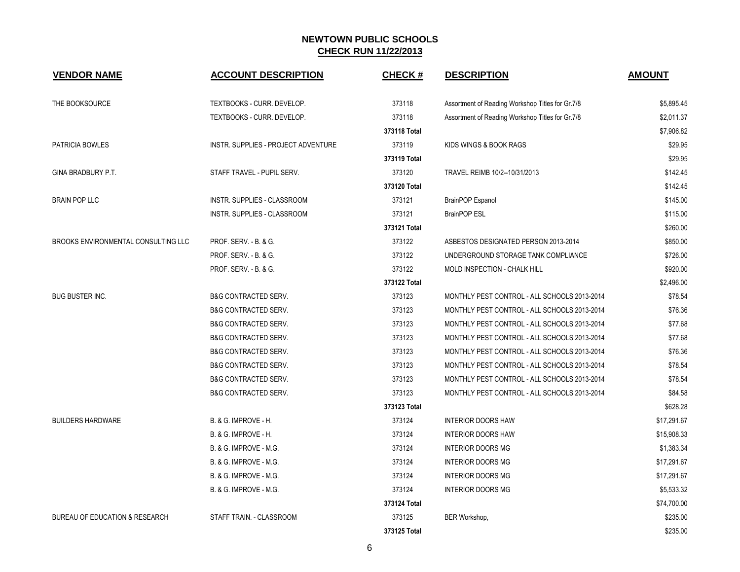| <b>VENDOR NAME</b>                        | <b>ACCOUNT DESCRIPTION</b>          | <b>CHECK#</b> | <b>DESCRIPTION</b>                               | <b>AMOUNT</b> |
|-------------------------------------------|-------------------------------------|---------------|--------------------------------------------------|---------------|
| THE BOOKSOURCE                            | TEXTBOOKS - CURR. DEVELOP.          | 373118        | Assortment of Reading Workshop Titles for Gr.7/8 | \$5,895.45    |
|                                           | TEXTBOOKS - CURR. DEVELOP.          | 373118        | Assortment of Reading Workshop Titles for Gr.7/8 | \$2,011.37    |
|                                           |                                     | 373118 Total  |                                                  | \$7,906.82    |
| PATRICIA BOWLES                           | INSTR. SUPPLIES - PROJECT ADVENTURE | 373119        | KIDS WINGS & BOOK RAGS                           | \$29.95       |
|                                           |                                     | 373119 Total  |                                                  | \$29.95       |
| GINA BRADBURY P.T.                        | STAFF TRAVEL - PUPIL SERV.          | 373120        | TRAVEL REIMB 10/2--10/31/2013                    | \$142.45      |
|                                           |                                     | 373120 Total  |                                                  | \$142.45      |
| <b>BRAIN POP LLC</b>                      | INSTR. SUPPLIES - CLASSROOM         | 373121        | BrainPOP Espanol                                 | \$145.00      |
|                                           | INSTR. SUPPLIES - CLASSROOM         | 373121        | <b>BrainPOP ESL</b>                              | \$115.00      |
|                                           |                                     | 373121 Total  |                                                  | \$260.00      |
| BROOKS ENVIRONMENTAL CONSULTING LLC       | <b>PROF. SERV. - B. &amp; G.</b>    | 373122        | ASBESTOS DESIGNATED PERSON 2013-2014             | \$850.00      |
|                                           | <b>PROF. SERV. - B. &amp; G.</b>    | 373122        | UNDERGROUND STORAGE TANK COMPLIANCE              | \$726.00      |
|                                           | PROF. SERV. - B. & G.               | 373122        | MOLD INSPECTION - CHALK HILL                     | \$920.00      |
|                                           |                                     | 373122 Total  |                                                  | \$2,496.00    |
| <b>BUG BUSTER INC.</b>                    | <b>B&amp;G CONTRACTED SERV.</b>     | 373123        | MONTHLY PEST CONTROL - ALL SCHOOLS 2013-2014     | \$78.54       |
|                                           | <b>B&amp;G CONTRACTED SERV.</b>     | 373123        | MONTHLY PEST CONTROL - ALL SCHOOLS 2013-2014     | \$76.36       |
|                                           | <b>B&amp;G CONTRACTED SERV.</b>     | 373123        | MONTHLY PEST CONTROL - ALL SCHOOLS 2013-2014     | \$77.68       |
|                                           | <b>B&amp;G CONTRACTED SERV.</b>     | 373123        | MONTHLY PEST CONTROL - ALL SCHOOLS 2013-2014     | \$77.68       |
|                                           | <b>B&amp;G CONTRACTED SERV.</b>     | 373123        | MONTHLY PEST CONTROL - ALL SCHOOLS 2013-2014     | \$76.36       |
|                                           | <b>B&amp;G CONTRACTED SERV.</b>     | 373123        | MONTHLY PEST CONTROL - ALL SCHOOLS 2013-2014     | \$78.54       |
|                                           | <b>B&amp;G CONTRACTED SERV.</b>     | 373123        | MONTHLY PEST CONTROL - ALL SCHOOLS 2013-2014     | \$78.54       |
|                                           | <b>B&amp;G CONTRACTED SERV.</b>     | 373123        | MONTHLY PEST CONTROL - ALL SCHOOLS 2013-2014     | \$84.58       |
|                                           |                                     | 373123 Total  |                                                  | \$628.28      |
| <b>BUILDERS HARDWARE</b>                  | B. & G. IMPROVE - H.                | 373124        | <b>INTERIOR DOORS HAW</b>                        | \$17,291.67   |
|                                           | B. & G. IMPROVE - H.                | 373124        | <b>INTERIOR DOORS HAW</b>                        | \$15,908.33   |
|                                           | B. & G. IMPROVE - M.G.              | 373124        | <b>INTERIOR DOORS MG</b>                         | \$1,383.34    |
|                                           | B. & G. IMPROVE - M.G.              | 373124        | <b>INTERIOR DOORS MG</b>                         | \$17,291.67   |
|                                           | B. & G. IMPROVE - M.G.              | 373124        | <b>INTERIOR DOORS MG</b>                         | \$17,291.67   |
|                                           | B. & G. IMPROVE - M.G.              | 373124        | <b>INTERIOR DOORS MG</b>                         | \$5,533.32    |
|                                           |                                     | 373124 Total  |                                                  | \$74,700.00   |
| <b>BUREAU OF EDUCATION &amp; RESEARCH</b> | STAFF TRAIN. - CLASSROOM            | 373125        | BER Workshop,                                    | \$235.00      |
|                                           |                                     | 373125 Total  |                                                  | \$235.00      |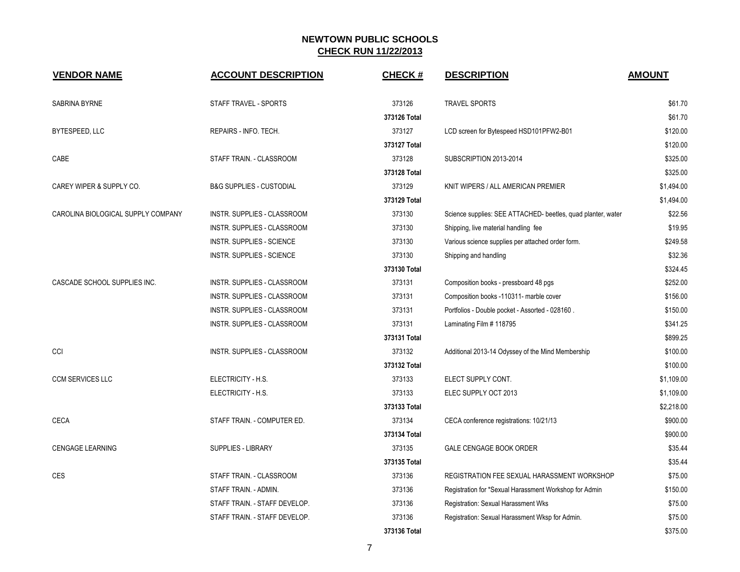| <b>VENDOR NAME</b>                 | <b>ACCOUNT DESCRIPTION</b>          | <b>CHECK#</b> | <b>DESCRIPTION</b>                                           | <b>AMOUNT</b> |
|------------------------------------|-------------------------------------|---------------|--------------------------------------------------------------|---------------|
| SABRINA BYRNE                      | STAFF TRAVEL - SPORTS               | 373126        | <b>TRAVEL SPORTS</b>                                         | \$61.70       |
|                                    |                                     | 373126 Total  |                                                              | \$61.70       |
| BYTESPEED, LLC                     | REPAIRS - INFO. TECH.               | 373127        | LCD screen for Bytespeed HSD101PFW2-B01                      | \$120.00      |
|                                    |                                     | 373127 Total  |                                                              | \$120.00      |
| CABE                               | STAFF TRAIN. - CLASSROOM            | 373128        | SUBSCRIPTION 2013-2014                                       | \$325.00      |
|                                    |                                     | 373128 Total  |                                                              | \$325.00      |
| CAREY WIPER & SUPPLY CO.           | <b>B&amp;G SUPPLIES - CUSTODIAL</b> | 373129        | KNIT WIPERS / ALL AMERICAN PREMIER                           | \$1,494.00    |
|                                    |                                     | 373129 Total  |                                                              | \$1,494.00    |
| CAROLINA BIOLOGICAL SUPPLY COMPANY | INSTR. SUPPLIES - CLASSROOM         | 373130        | Science supplies: SEE ATTACHED- beetles, quad planter, water | \$22.56       |
|                                    | INSTR. SUPPLIES - CLASSROOM         | 373130        | Shipping, live material handling fee                         | \$19.95       |
|                                    | <b>INSTR. SUPPLIES - SCIENCE</b>    | 373130        | Various science supplies per attached order form.            | \$249.58      |
|                                    | INSTR. SUPPLIES - SCIENCE           | 373130        | Shipping and handling                                        | \$32.36       |
|                                    |                                     | 373130 Total  |                                                              | \$324.45      |
| CASCADE SCHOOL SUPPLIES INC.       | INSTR. SUPPLIES - CLASSROOM         | 373131        | Composition books - pressboard 48 pgs                        | \$252.00      |
|                                    | <b>INSTR. SUPPLIES - CLASSROOM</b>  | 373131        | Composition books -110311- marble cover                      | \$156.00      |
|                                    | INSTR. SUPPLIES - CLASSROOM         | 373131        | Portfolios - Double pocket - Assorted - 028160.              | \$150.00      |
|                                    | INSTR. SUPPLIES - CLASSROOM         | 373131        | Laminating Film # 118795                                     | \$341.25      |
|                                    |                                     | 373131 Total  |                                                              | \$899.25      |
| CCI                                | INSTR. SUPPLIES - CLASSROOM         | 373132        | Additional 2013-14 Odyssey of the Mind Membership            | \$100.00      |
|                                    |                                     | 373132 Total  |                                                              | \$100.00      |
| <b>CCM SERVICES LLC</b>            | ELECTRICITY - H.S.                  | 373133        | ELECT SUPPLY CONT.                                           | \$1,109.00    |
|                                    | ELECTRICITY - H.S.                  | 373133        | ELEC SUPPLY OCT 2013                                         | \$1,109.00    |
|                                    |                                     | 373133 Total  |                                                              | \$2,218.00    |
| CECA                               | STAFF TRAIN. - COMPUTER ED.         | 373134        | CECA conference registrations: 10/21/13                      | \$900.00      |
|                                    |                                     | 373134 Total  |                                                              | \$900.00      |
| <b>CENGAGE LEARNING</b>            | SUPPLIES - LIBRARY                  | 373135        | <b>GALE CENGAGE BOOK ORDER</b>                               | \$35.44       |
|                                    |                                     | 373135 Total  |                                                              | \$35.44       |
| <b>CES</b>                         | STAFF TRAIN. - CLASSROOM            | 373136        | REGISTRATION FEE SEXUAL HARASSMENT WORKSHOP                  | \$75.00       |
|                                    | STAFF TRAIN. - ADMIN.               | 373136        | Registration for *Sexual Harassment Workshop for Admin       | \$150.00      |
|                                    | STAFF TRAIN. - STAFF DEVELOP.       | 373136        | Registration: Sexual Harassment Wks                          | \$75.00       |
|                                    | STAFF TRAIN. - STAFF DEVELOP.       | 373136        | Registration: Sexual Harassment Wksp for Admin.              | \$75.00       |
|                                    |                                     | 373136 Total  |                                                              | \$375.00      |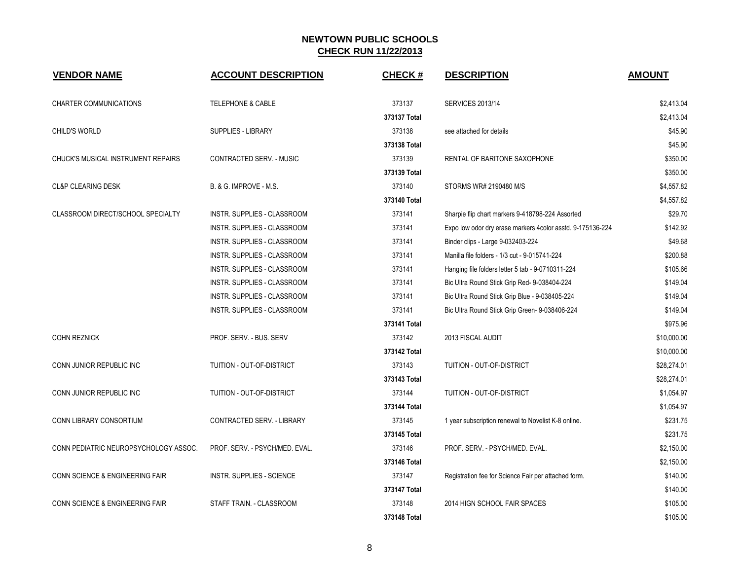| <b>VENDOR NAME</b>                    | <b>ACCOUNT DESCRIPTION</b>         | <b>CHECK#</b> | <b>DESCRIPTION</b>                                         | <b>AMOUNT</b> |
|---------------------------------------|------------------------------------|---------------|------------------------------------------------------------|---------------|
| CHARTER COMMUNICATIONS                | <b>TELEPHONE &amp; CABLE</b>       | 373137        | <b>SERVICES 2013/14</b>                                    | \$2,413.04    |
|                                       |                                    | 373137 Total  |                                                            | \$2,413.04    |
| <b>CHILD'S WORLD</b>                  | <b>SUPPLIES - LIBRARY</b>          | 373138        | see attached for details                                   | \$45.90       |
|                                       |                                    | 373138 Total  |                                                            | \$45.90       |
| CHUCK'S MUSICAL INSTRUMENT REPAIRS    | CONTRACTED SERV. - MUSIC           | 373139        | RENTAL OF BARITONE SAXOPHONE                               | \$350.00      |
|                                       |                                    | 373139 Total  |                                                            | \$350.00      |
| <b>CL&amp;P CLEARING DESK</b>         | B. & G. IMPROVE - M.S.             | 373140        | STORMS WR# 2190480 M/S                                     | \$4,557.82    |
|                                       |                                    | 373140 Total  |                                                            | \$4,557.82    |
| CLASSROOM DIRECT/SCHOOL SPECIALTY     | INSTR. SUPPLIES - CLASSROOM        | 373141        | Sharpie flip chart markers 9-418798-224 Assorted           | \$29.70       |
|                                       | INSTR. SUPPLIES - CLASSROOM        | 373141        | Expo low odor dry erase markers 4color asstd. 9-175136-224 | \$142.92      |
|                                       | INSTR. SUPPLIES - CLASSROOM        | 373141        | Binder clips - Large 9-032403-224                          | \$49.68       |
|                                       | INSTR. SUPPLIES - CLASSROOM        | 373141        | Manilla file folders - 1/3 cut - 9-015741-224              | \$200.88      |
|                                       | INSTR. SUPPLIES - CLASSROOM        | 373141        | Hanging file folders letter 5 tab - 9-0710311-224          | \$105.66      |
|                                       | INSTR. SUPPLIES - CLASSROOM        | 373141        | Bic Ultra Round Stick Grip Red- 9-038404-224               | \$149.04      |
|                                       | INSTR. SUPPLIES - CLASSROOM        | 373141        | Bic Ultra Round Stick Grip Blue - 9-038405-224             | \$149.04      |
|                                       | <b>INSTR. SUPPLIES - CLASSROOM</b> | 373141        | Bic Ultra Round Stick Grip Green- 9-038406-224             | \$149.04      |
|                                       |                                    | 373141 Total  |                                                            | \$975.96      |
| <b>COHN REZNICK</b>                   | PROF. SERV. - BUS. SERV            | 373142        | 2013 FISCAL AUDIT                                          | \$10,000.00   |
|                                       |                                    | 373142 Total  |                                                            | \$10,000.00   |
| CONN JUNIOR REPUBLIC INC              | TUITION - OUT-OF-DISTRICT          | 373143        | <b>TUITION - OUT-OF-DISTRICT</b>                           | \$28,274.01   |
|                                       |                                    | 373143 Total  |                                                            | \$28,274.01   |
| CONN JUNIOR REPUBLIC INC              | TUITION - OUT-OF-DISTRICT          | 373144        | TUITION - OUT-OF-DISTRICT                                  | \$1,054.97    |
|                                       |                                    | 373144 Total  |                                                            | \$1,054.97    |
| CONN LIBRARY CONSORTIUM               | CONTRACTED SERV. - LIBRARY         | 373145        | 1 year subscription renewal to Novelist K-8 online.        | \$231.75      |
|                                       |                                    | 373145 Total  |                                                            | \$231.75      |
| CONN PEDIATRIC NEUROPSYCHOLOGY ASSOC. | PROF. SERV. - PSYCH/MED. EVAL.     | 373146        | PROF. SERV. - PSYCH/MED. EVAL.                             | \$2,150.00    |
|                                       |                                    | 373146 Total  |                                                            | \$2,150.00    |
| CONN SCIENCE & ENGINEERING FAIR       | <b>INSTR. SUPPLIES - SCIENCE</b>   | 373147        | Registration fee for Science Fair per attached form.       | \$140.00      |
|                                       |                                    | 373147 Total  |                                                            | \$140.00      |
| CONN SCIENCE & ENGINEERING FAIR       | STAFF TRAIN. - CLASSROOM           | 373148        | 2014 HIGN SCHOOL FAIR SPACES                               | \$105.00      |
|                                       |                                    | 373148 Total  |                                                            | \$105.00      |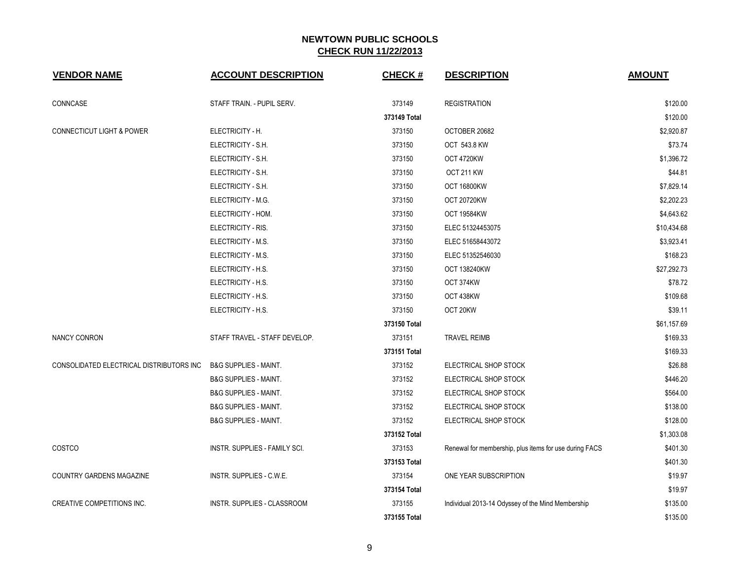| <b>VENDOR NAME</b>                       | <b>ACCOUNT DESCRIPTION</b>       | <b>CHECK#</b> | <b>DESCRIPTION</b>                                     | <b>AMOUNT</b> |
|------------------------------------------|----------------------------------|---------------|--------------------------------------------------------|---------------|
| CONNCASE                                 | STAFF TRAIN. - PUPIL SERV.       | 373149        | <b>REGISTRATION</b>                                    | \$120.00      |
|                                          |                                  | 373149 Total  |                                                        | \$120.00      |
| <b>CONNECTICUT LIGHT &amp; POWER</b>     | ELECTRICITY - H.                 | 373150        | OCTOBER 20682                                          | \$2,920.87    |
|                                          | ELECTRICITY - S.H.               | 373150        | OCT 543.8 KW                                           | \$73.74       |
|                                          | ELECTRICITY - S.H.               | 373150        | OCT 4720KW                                             | \$1,396.72    |
|                                          | ELECTRICITY - S.H.               | 373150        | OCT 211 KW                                             | \$44.81       |
|                                          | ELECTRICITY - S.H.               | 373150        | <b>OCT 16800KW</b>                                     | \$7,829.14    |
|                                          | ELECTRICITY - M.G.               | 373150        | <b>OCT 20720KW</b>                                     | \$2,202.23    |
|                                          | ELECTRICITY - HOM.               | 373150        | <b>OCT 19584KW</b>                                     | \$4,643.62    |
|                                          | ELECTRICITY - RIS.               | 373150        | ELEC 51324453075                                       | \$10,434.68   |
|                                          | ELECTRICITY - M.S.               | 373150        | ELEC 51658443072                                       | \$3,923.41    |
|                                          | ELECTRICITY - M.S.               | 373150        | ELEC 51352546030                                       | \$168.23      |
|                                          | ELECTRICITY - H.S.               | 373150        | <b>OCT 138240KW</b>                                    | \$27,292.73   |
|                                          | ELECTRICITY - H.S.               | 373150        | OCT 374KW                                              | \$78.72       |
|                                          | ELECTRICITY - H.S.               | 373150        | OCT 438KW                                              | \$109.68      |
|                                          | ELECTRICITY - H.S.               | 373150        | OCT 20KW                                               | \$39.11       |
|                                          |                                  | 373150 Total  |                                                        | \$61,157.69   |
| <b>NANCY CONRON</b>                      | STAFF TRAVEL - STAFF DEVELOP.    | 373151        | <b>TRAVEL REIMB</b>                                    | \$169.33      |
|                                          |                                  | 373151 Total  |                                                        | \$169.33      |
| CONSOLIDATED ELECTRICAL DISTRIBUTORS INC | <b>B&amp;G SUPPLIES - MAINT.</b> | 373152        | ELECTRICAL SHOP STOCK                                  | \$26.88       |
|                                          | <b>B&amp;G SUPPLIES - MAINT.</b> | 373152        | ELECTRICAL SHOP STOCK                                  | \$446.20      |
|                                          | <b>B&amp;G SUPPLIES - MAINT.</b> | 373152        | ELECTRICAL SHOP STOCK                                  | \$564.00      |
|                                          | <b>B&amp;G SUPPLIES - MAINT.</b> | 373152        | ELECTRICAL SHOP STOCK                                  | \$138.00      |
|                                          | <b>B&amp;G SUPPLIES - MAINT.</b> | 373152        | ELECTRICAL SHOP STOCK                                  | \$128.00      |
|                                          |                                  | 373152 Total  |                                                        | \$1,303.08    |
| COSTCO                                   | INSTR. SUPPLIES - FAMILY SCI.    | 373153        | Renewal for membership, plus items for use during FACS | \$401.30      |
|                                          |                                  | 373153 Total  |                                                        | \$401.30      |
| COUNTRY GARDENS MAGAZINE                 | INSTR. SUPPLIES - C.W.E.         | 373154        | ONE YEAR SUBSCRIPTION                                  | \$19.97       |
|                                          |                                  | 373154 Total  |                                                        | \$19.97       |
| CREATIVE COMPETITIONS INC.               | INSTR. SUPPLIES - CLASSROOM      | 373155        | Individual 2013-14 Odyssey of the Mind Membership      | \$135.00      |
|                                          |                                  | 373155 Total  |                                                        | \$135.00      |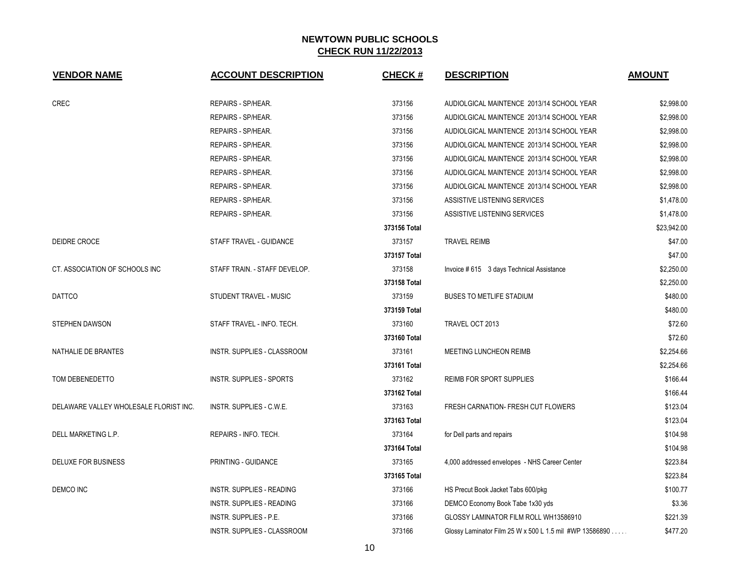| <b>VENDOR NAME</b>                     | <b>ACCOUNT DESCRIPTION</b>       | <b>CHECK#</b> | <b>DESCRIPTION</b>                                      | <b>AMOUNT</b> |
|----------------------------------------|----------------------------------|---------------|---------------------------------------------------------|---------------|
| CREC                                   | REPAIRS - SP/HEAR.               | 373156        | AUDIOLGICAL MAINTENCE 2013/14 SCHOOL YEAR               | \$2,998.00    |
|                                        | REPAIRS - SP/HEAR.               | 373156        | AUDIOLGICAL MAINTENCE 2013/14 SCHOOL YEAR               | \$2,998.00    |
|                                        | REPAIRS - SP/HEAR.               | 373156        | AUDIOLGICAL MAINTENCE 2013/14 SCHOOL YEAR               | \$2,998.00    |
|                                        | REPAIRS - SP/HEAR.               | 373156        | AUDIOLGICAL MAINTENCE 2013/14 SCHOOL YEAR               | \$2,998.00    |
|                                        | REPAIRS - SP/HEAR.               | 373156        | AUDIOLGICAL MAINTENCE 2013/14 SCHOOL YEAR               | \$2,998.00    |
|                                        | REPAIRS - SP/HEAR.               | 373156        | AUDIOLGICAL MAINTENCE 2013/14 SCHOOL YEAR               | \$2,998.00    |
|                                        | REPAIRS - SP/HEAR.               | 373156        | AUDIOLGICAL MAINTENCE 2013/14 SCHOOL YEAR               | \$2,998.00    |
|                                        | REPAIRS - SP/HEAR.               | 373156        | ASSISTIVE LISTENING SERVICES                            | \$1,478.00    |
|                                        | REPAIRS - SP/HEAR.               | 373156        | ASSISTIVE LISTENING SERVICES                            | \$1,478.00    |
|                                        |                                  | 373156 Total  |                                                         | \$23,942.00   |
| DEIDRE CROCE                           | STAFF TRAVEL - GUIDANCE          | 373157        | <b>TRAVEL REIMB</b>                                     | \$47.00       |
|                                        |                                  | 373157 Total  |                                                         | \$47.00       |
| CT. ASSOCIATION OF SCHOOLS INC         | STAFF TRAIN. - STAFF DEVELOP.    | 373158        | Invoice # 615 3 days Technical Assistance               | \$2,250.00    |
|                                        |                                  | 373158 Total  |                                                         | \$2,250.00    |
| <b>DATTCO</b>                          | STUDENT TRAVEL - MUSIC           | 373159        | <b>BUSES TO METLIFE STADIUM</b>                         | \$480.00      |
|                                        |                                  | 373159 Total  |                                                         | \$480.00      |
| STEPHEN DAWSON                         | STAFF TRAVEL - INFO. TECH.       | 373160        | TRAVEL OCT 2013                                         | \$72.60       |
|                                        |                                  | 373160 Total  |                                                         | \$72.60       |
| NATHALIE DE BRANTES                    | INSTR. SUPPLIES - CLASSROOM      | 373161        | MEETING LUNCHEON REIMB                                  | \$2,254.66    |
|                                        |                                  | 373161 Total  |                                                         | \$2,254.66    |
| TOM DEBENEDETTO                        | <b>INSTR. SUPPLIES - SPORTS</b>  | 373162        | REIMB FOR SPORT SUPPLIES                                | \$166.44      |
|                                        |                                  | 373162 Total  |                                                         | \$166.44      |
| DELAWARE VALLEY WHOLESALE FLORIST INC. | INSTR. SUPPLIES - C.W.E.         | 373163        | FRESH CARNATION- FRESH CUT FLOWERS                      | \$123.04      |
|                                        |                                  | 373163 Total  |                                                         | \$123.04      |
| DELL MARKETING L.P.                    | REPAIRS - INFO. TECH.            | 373164        | for Dell parts and repairs                              | \$104.98      |
|                                        |                                  | 373164 Total  |                                                         | \$104.98      |
| DELUXE FOR BUSINESS                    | PRINTING - GUIDANCE              | 373165        | 4,000 addressed envelopes - NHS Career Center           | \$223.84      |
|                                        |                                  | 373165 Total  |                                                         | \$223.84      |
| DEMCO INC                              | <b>INSTR. SUPPLIES - READING</b> | 373166        | HS Precut Book Jacket Tabs 600/pkg                      | \$100.77      |
|                                        | <b>INSTR. SUPPLIES - READING</b> | 373166        | DEMCO Economy Book Tabe 1x30 yds                        | \$3.36        |
|                                        | <b>INSTR. SUPPLIES - P.E.</b>    | 373166        | GLOSSY LAMINATOR FILM ROLL WH13586910                   | \$221.39      |
|                                        | INSTR. SUPPLIES - CLASSROOM      | 373166        | Glossy Laminator Film 25 W x 500 L 1.5 mil #WP 13586890 | \$477.20      |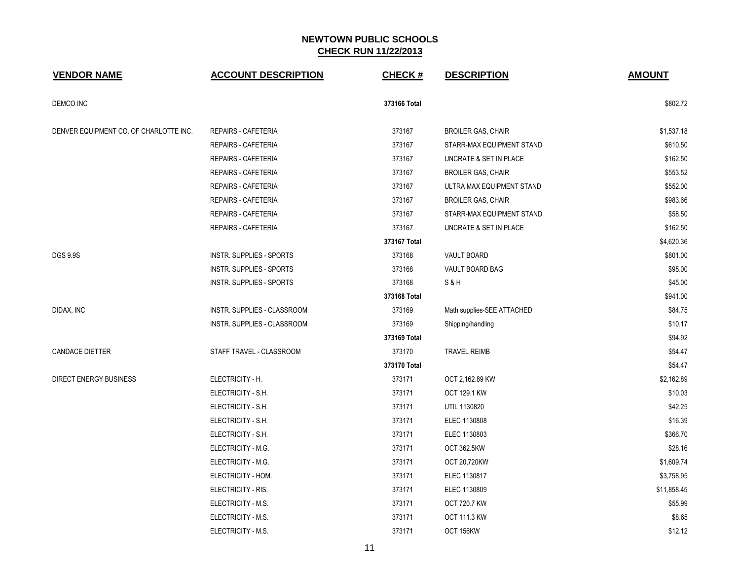| <b>VENDOR NAME</b>                     | <b>ACCOUNT DESCRIPTION</b>  | <b>CHECK#</b> | <b>DESCRIPTION</b>         | <b>AMOUNT</b> |
|----------------------------------------|-----------------------------|---------------|----------------------------|---------------|
| <b>DEMCO INC</b>                       |                             | 373166 Total  |                            | \$802.72      |
| DENVER EQUIPMENT CO. OF CHARLOTTE INC. | <b>REPAIRS - CAFETERIA</b>  | 373167        | <b>BROILER GAS, CHAIR</b>  | \$1,537.18    |
|                                        | <b>REPAIRS - CAFETERIA</b>  | 373167        | STARR-MAX EQUIPMENT STAND  | \$610.50      |
|                                        | REPAIRS - CAFETERIA         | 373167        | UNCRATE & SET IN PLACE     | \$162.50      |
|                                        | <b>REPAIRS - CAFETERIA</b>  | 373167        | <b>BROILER GAS, CHAIR</b>  | \$553.52      |
|                                        | <b>REPAIRS - CAFETERIA</b>  | 373167        | ULTRA MAX EQUIPMENT STAND  | \$552.00      |
|                                        | <b>REPAIRS - CAFETERIA</b>  | 373167        | <b>BROILER GAS, CHAIR</b>  | \$983.66      |
|                                        | <b>REPAIRS - CAFETERIA</b>  | 373167        | STARR-MAX EQUIPMENT STAND  | \$58.50       |
|                                        | <b>REPAIRS - CAFETERIA</b>  | 373167        | UNCRATE & SET IN PLACE     | \$162.50      |
|                                        |                             | 373167 Total  |                            | \$4,620.36    |
| <b>DGS 9.9S</b>                        | INSTR. SUPPLIES - SPORTS    | 373168        | VAULT BOARD                | \$801.00      |
|                                        | INSTR. SUPPLIES - SPORTS    | 373168        | VAULT BOARD BAG            | \$95.00       |
|                                        | INSTR. SUPPLIES - SPORTS    | 373168        | S&H                        | \$45.00       |
|                                        |                             | 373168 Total  |                            | \$941.00      |
| DIDAX, INC                             | INSTR. SUPPLIES - CLASSROOM | 373169        | Math supplies-SEE ATTACHED | \$84.75       |
|                                        | INSTR. SUPPLIES - CLASSROOM | 373169        | Shipping/handling          | \$10.17       |
|                                        |                             | 373169 Total  |                            | \$94.92       |
| <b>CANDACE DIETTER</b>                 | STAFF TRAVEL - CLASSROOM    | 373170        | TRAVEL REIMB               | \$54.47       |
|                                        |                             | 373170 Total  |                            | \$54.47       |
| <b>DIRECT ENERGY BUSINESS</b>          | ELECTRICITY - H.            | 373171        | OCT 2,162.89 KW            | \$2,162.89    |
|                                        | ELECTRICITY - S.H.          | 373171        | <b>OCT 129.1 KW</b>        | \$10.03       |
|                                        | ELECTRICITY - S.H.          | 373171        | UTIL 1130820               | \$42.25       |
|                                        | ELECTRICITY - S.H.          | 373171        | ELEC 1130808               | \$16.39       |
|                                        | ELECTRICITY - S.H.          | 373171        | ELEC 1130803               | \$366.70      |
|                                        | ELECTRICITY - M.G.          | 373171        | OCT 362.5KW                | \$28.16       |
|                                        | ELECTRICITY - M.G.          | 373171        | OCT 20,720KW               | \$1,609.74    |
|                                        | ELECTRICITY - HOM.          | 373171        | ELEC 1130817               | \$3,758.95    |
|                                        | ELECTRICITY - RIS.          | 373171        | ELEC 1130809               | \$11,858.45   |
|                                        | ELECTRICITY - M.S.          | 373171        | <b>OCT 720.7 KW</b>        | \$55.99       |
|                                        | ELECTRICITY - M.S.          | 373171        | <b>OCT 111.3 KW</b>        | \$8.65        |
|                                        | ELECTRICITY - M.S.          | 373171        | OCT 156KW                  | \$12.12       |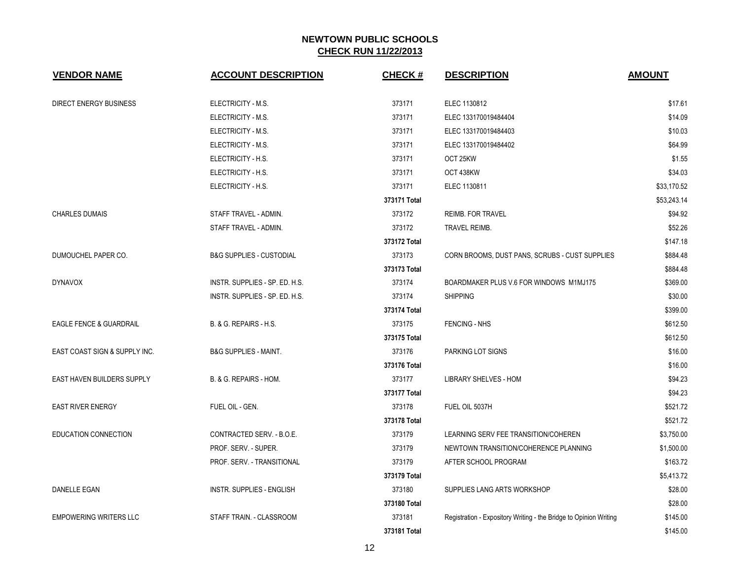| <b>VENDOR NAME</b>                 | <b>ACCOUNT DESCRIPTION</b>          | <b>CHECK#</b> | <b>DESCRIPTION</b>                                                | <b>AMOUNT</b> |
|------------------------------------|-------------------------------------|---------------|-------------------------------------------------------------------|---------------|
| <b>DIRECT ENERGY BUSINESS</b>      | ELECTRICITY - M.S.                  | 373171        | ELEC 1130812                                                      | \$17.61       |
|                                    | ELECTRICITY - M.S.                  | 373171        | ELEC 133170019484404                                              | \$14.09       |
|                                    | ELECTRICITY - M.S.                  | 373171        | ELEC 133170019484403                                              | \$10.03       |
|                                    | ELECTRICITY - M.S.                  | 373171        | ELEC 133170019484402                                              | \$64.99       |
|                                    | ELECTRICITY - H.S.                  | 373171        | OCT 25KW                                                          | \$1.55        |
|                                    | ELECTRICITY - H.S.                  | 373171        | OCT 438KW                                                         | \$34.03       |
|                                    | ELECTRICITY - H.S.                  | 373171        | ELEC 1130811                                                      | \$33,170.52   |
|                                    |                                     | 373171 Total  |                                                                   | \$53,243.14   |
| <b>CHARLES DUMAIS</b>              | STAFF TRAVEL - ADMIN.               | 373172        | <b>REIMB. FOR TRAVEL</b>                                          | \$94.92       |
|                                    | STAFF TRAVEL - ADMIN.               | 373172        | <b>TRAVEL REIMB.</b>                                              | \$52.26       |
|                                    |                                     | 373172 Total  |                                                                   | \$147.18      |
| DUMOUCHEL PAPER CO.                | <b>B&amp;G SUPPLIES - CUSTODIAL</b> | 373173        | CORN BROOMS, DUST PANS, SCRUBS - CUST SUPPLIES                    | \$884.48      |
|                                    |                                     | 373173 Total  |                                                                   | \$884.48      |
| <b>DYNAVOX</b>                     | INSTR. SUPPLIES - SP. ED. H.S.      | 373174        | BOARDMAKER PLUS V.6 FOR WINDOWS M1MJ175                           | \$369.00      |
|                                    | INSTR. SUPPLIES - SP. ED. H.S.      | 373174        | <b>SHIPPING</b>                                                   | \$30.00       |
|                                    |                                     | 373174 Total  |                                                                   | \$399.00      |
| <b>EAGLE FENCE &amp; GUARDRAIL</b> | B. & G. REPAIRS - H.S.              | 373175        | <b>FENCING - NHS</b>                                              | \$612.50      |
|                                    |                                     | 373175 Total  |                                                                   | \$612.50      |
| EAST COAST SIGN & SUPPLY INC.      | <b>B&amp;G SUPPLIES - MAINT.</b>    | 373176        | PARKING LOT SIGNS                                                 | \$16.00       |
|                                    |                                     | 373176 Total  |                                                                   | \$16.00       |
| EAST HAVEN BUILDERS SUPPLY         | B. & G. REPAIRS - HOM.              | 373177        | LIBRARY SHELVES - HOM                                             | \$94.23       |
|                                    |                                     | 373177 Total  |                                                                   | \$94.23       |
| <b>EAST RIVER ENERGY</b>           | FUEL OIL - GEN.                     | 373178        | FUEL OIL 5037H                                                    | \$521.72      |
|                                    |                                     | 373178 Total  |                                                                   | \$521.72      |
| EDUCATION CONNECTION               | CONTRACTED SERV. - B.O.E.           | 373179        | LEARNING SERV FEE TRANSITION/COHEREN                              | \$3,750.00    |
|                                    | PROF. SERV. - SUPER.                | 373179        | NEWTOWN TRANSITION/COHERENCE PLANNING                             | \$1,500.00    |
|                                    | PROF. SERV. - TRANSITIONAL          | 373179        | AFTER SCHOOL PROGRAM                                              | \$163.72      |
|                                    |                                     | 373179 Total  |                                                                   | \$5,413.72    |
| DANELLE EGAN                       | INSTR. SUPPLIES - ENGLISH           | 373180        | SUPPLIES LANG ARTS WORKSHOP                                       | \$28.00       |
|                                    |                                     | 373180 Total  |                                                                   | \$28.00       |
| <b>EMPOWERING WRITERS LLC</b>      | STAFF TRAIN. - CLASSROOM            | 373181        | Registration - Expository Writing - the Bridge to Opinion Writing | \$145.00      |
|                                    |                                     | 373181 Total  |                                                                   | \$145.00      |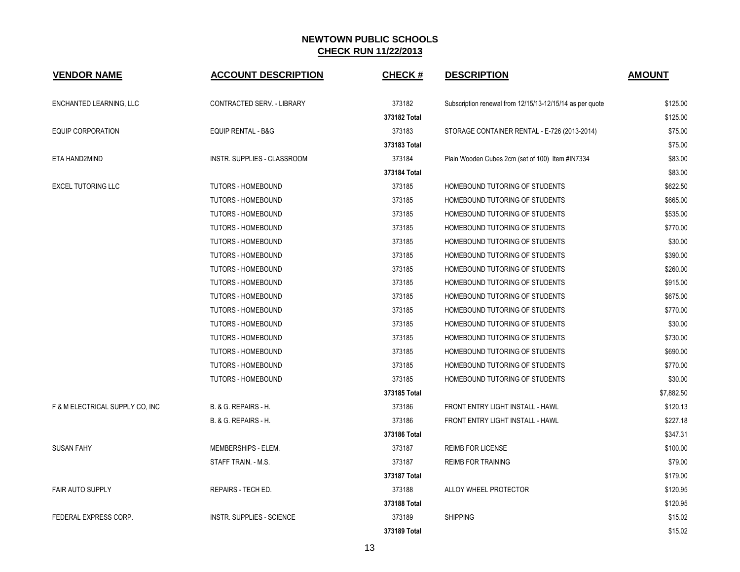| <b>VENDOR NAME</b>              | <b>ACCOUNT DESCRIPTION</b>       | <b>CHECK#</b> | <b>DESCRIPTION</b>                                       | <b>AMOUNT</b> |
|---------------------------------|----------------------------------|---------------|----------------------------------------------------------|---------------|
| ENCHANTED LEARNING, LLC         | CONTRACTED SERV. - LIBRARY       | 373182        | Subscription renewal from 12/15/13-12/15/14 as per quote | \$125.00      |
|                                 |                                  | 373182 Total  |                                                          | \$125.00      |
| <b>EQUIP CORPORATION</b>        | <b>EQUIP RENTAL - B&amp;G</b>    | 373183        | STORAGE CONTAINER RENTAL - E-726 (2013-2014)             | \$75.00       |
|                                 |                                  | 373183 Total  |                                                          | \$75.00       |
| ETA HAND2MIND                   | INSTR. SUPPLIES - CLASSROOM      | 373184        | Plain Wooden Cubes 2cm (set of 100) Item #IN7334         | \$83.00       |
|                                 |                                  | 373184 Total  |                                                          | \$83.00       |
| <b>EXCEL TUTORING LLC</b>       | <b>TUTORS - HOMEBOUND</b>        | 373185        | HOMEBOUND TUTORING OF STUDENTS                           | \$622.50      |
|                                 | TUTORS - HOMEBOUND               | 373185        | HOMEBOUND TUTORING OF STUDENTS                           | \$665.00      |
|                                 | TUTORS - HOMEBOUND               | 373185        | HOMEBOUND TUTORING OF STUDENTS                           | \$535.00      |
|                                 | <b>TUTORS - HOMEBOUND</b>        | 373185        | HOMEBOUND TUTORING OF STUDENTS                           | \$770.00      |
|                                 | <b>TUTORS - HOMEBOUND</b>        | 373185        | HOMEBOUND TUTORING OF STUDENTS                           | \$30.00       |
|                                 | <b>TUTORS - HOMEBOUND</b>        | 373185        | HOMEBOUND TUTORING OF STUDENTS                           | \$390.00      |
|                                 | TUTORS - HOMEBOUND               | 373185        | HOMEBOUND TUTORING OF STUDENTS                           | \$260.00      |
|                                 | TUTORS - HOMEBOUND               | 373185        | HOMEBOUND TUTORING OF STUDENTS                           | \$915.00      |
|                                 | <b>TUTORS - HOMEBOUND</b>        | 373185        | HOMEBOUND TUTORING OF STUDENTS                           | \$675.00      |
|                                 | TUTORS - HOMEBOUND               | 373185        | HOMEBOUND TUTORING OF STUDENTS                           | \$770.00      |
|                                 | TUTORS - HOMEBOUND               | 373185        | HOMEBOUND TUTORING OF STUDENTS                           | \$30.00       |
|                                 | <b>TUTORS - HOMEBOUND</b>        | 373185        | HOMEBOUND TUTORING OF STUDENTS                           | \$730.00      |
|                                 | TUTORS - HOMEBOUND               | 373185        | HOMEBOUND TUTORING OF STUDENTS                           | \$690.00      |
|                                 | <b>TUTORS - HOMEBOUND</b>        | 373185        | HOMEBOUND TUTORING OF STUDENTS                           | \$770.00      |
|                                 | <b>TUTORS - HOMEBOUND</b>        | 373185        | HOMEBOUND TUTORING OF STUDENTS                           | \$30.00       |
|                                 |                                  | 373185 Total  |                                                          | \$7,882.50    |
| F & M ELECTRICAL SUPPLY CO, INC | B. & G. REPAIRS - H.             | 373186        | FRONT ENTRY LIGHT INSTALL - HAWL                         | \$120.13      |
|                                 | B. & G. REPAIRS - H.             | 373186        | FRONT ENTRY LIGHT INSTALL - HAWL                         | \$227.18      |
|                                 |                                  | 373186 Total  |                                                          | \$347.31      |
| <b>SUSAN FAHY</b>               | MEMBERSHIPS - ELEM.              | 373187        | <b>REIMB FOR LICENSE</b>                                 | \$100.00      |
|                                 | STAFF TRAIN. - M.S.              | 373187        | <b>REIMB FOR TRAINING</b>                                | \$79.00       |
|                                 |                                  | 373187 Total  |                                                          | \$179.00      |
| <b>FAIR AUTO SUPPLY</b>         | REPAIRS - TECH ED.               | 373188        | ALLOY WHEEL PROTECTOR                                    | \$120.95      |
|                                 |                                  | 373188 Total  |                                                          | \$120.95      |
| FEDERAL EXPRESS CORP.           | <b>INSTR. SUPPLIES - SCIENCE</b> | 373189        | <b>SHIPPING</b>                                          | \$15.02       |
|                                 |                                  | 373189 Total  |                                                          | \$15.02       |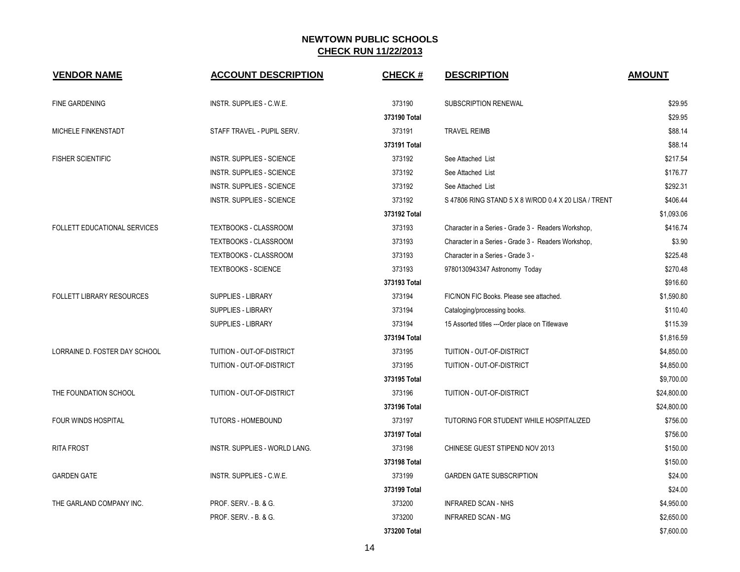| <b>VENDOR NAME</b>               | <b>ACCOUNT DESCRIPTION</b>           | <b>CHECK#</b> | <b>DESCRIPTION</b>                                   | <b>AMOUNT</b> |
|----------------------------------|--------------------------------------|---------------|------------------------------------------------------|---------------|
| <b>FINE GARDENING</b>            | INSTR. SUPPLIES - C.W.E.             | 373190        | SUBSCRIPTION RENEWAL                                 | \$29.95       |
|                                  |                                      | 373190 Total  |                                                      | \$29.95       |
| MICHELE FINKENSTADT              | STAFF TRAVEL - PUPIL SERV.           | 373191        | <b>TRAVEL REIMB</b>                                  | \$88.14       |
|                                  |                                      | 373191 Total  |                                                      | \$88.14       |
| <b>FISHER SCIENTIFIC</b>         | <b>INSTR. SUPPLIES - SCIENCE</b>     | 373192        | See Attached List                                    | \$217.54      |
|                                  | <b>INSTR. SUPPLIES - SCIENCE</b>     | 373192        | See Attached List                                    | \$176.77      |
|                                  | <b>INSTR. SUPPLIES - SCIENCE</b>     | 373192        | See Attached List                                    | \$292.31      |
|                                  | <b>INSTR. SUPPLIES - SCIENCE</b>     | 373192        | S 47806 RING STAND 5 X 8 W/ROD 0.4 X 20 LISA / TRENT | \$406.44      |
|                                  |                                      | 373192 Total  |                                                      | \$1,093.06    |
| FOLLETT EDUCATIONAL SERVICES     | TEXTBOOKS - CLASSROOM                | 373193        | Character in a Series - Grade 3 - Readers Workshop,  | \$416.74      |
|                                  | TEXTBOOKS - CLASSROOM                | 373193        | Character in a Series - Grade 3 - Readers Workshop,  | \$3.90        |
|                                  | TEXTBOOKS - CLASSROOM                | 373193        | Character in a Series - Grade 3 -                    | \$225.48      |
|                                  | <b>TEXTBOOKS - SCIENCE</b>           | 373193        | 9780130943347 Astronomy Today                        | \$270.48      |
|                                  |                                      | 373193 Total  |                                                      | \$916.60      |
| <b>FOLLETT LIBRARY RESOURCES</b> | SUPPLIES - LIBRARY                   | 373194        | FIC/NON FIC Books. Please see attached.              | \$1,590.80    |
|                                  | SUPPLIES - LIBRARY                   | 373194        | Cataloging/processing books.                         | \$110.40      |
|                                  | SUPPLIES - LIBRARY                   | 373194        | 15 Assorted titles --- Order place on Titlewave      | \$115.39      |
|                                  |                                      | 373194 Total  |                                                      | \$1,816.59    |
| LORRAINE D. FOSTER DAY SCHOOL    | TUITION - OUT-OF-DISTRICT            | 373195        | TUITION - OUT-OF-DISTRICT                            | \$4,850.00    |
|                                  | TUITION - OUT-OF-DISTRICT            | 373195        | <b>TUITION - OUT-OF-DISTRICT</b>                     | \$4,850.00    |
|                                  |                                      | 373195 Total  |                                                      | \$9,700.00    |
| THE FOUNDATION SCHOOL            | TUITION - OUT-OF-DISTRICT            | 373196        | TUITION - OUT-OF-DISTRICT                            | \$24,800.00   |
|                                  |                                      | 373196 Total  |                                                      | \$24,800.00   |
| <b>FOUR WINDS HOSPITAL</b>       | TUTORS - HOMEBOUND                   | 373197        | TUTORING FOR STUDENT WHILE HOSPITALIZED              | \$756.00      |
|                                  |                                      | 373197 Total  |                                                      | \$756.00      |
| <b>RITA FROST</b>                | <b>INSTR. SUPPLIES - WORLD LANG.</b> | 373198        | CHINESE GUEST STIPEND NOV 2013                       | \$150.00      |
|                                  |                                      | 373198 Total  |                                                      | \$150.00      |
| <b>GARDEN GATE</b>               | INSTR. SUPPLIES - C.W.E.             | 373199        | <b>GARDEN GATE SUBSCRIPTION</b>                      | \$24.00       |
|                                  |                                      | 373199 Total  |                                                      | \$24.00       |
| THE GARLAND COMPANY INC.         | PROF. SERV. - B. & G.                | 373200        | <b>INFRARED SCAN - NHS</b>                           | \$4,950.00    |
|                                  | PROF. SERV. - B. & G.                | 373200        | <b>INFRARED SCAN - MG</b>                            | \$2,650.00    |
|                                  |                                      | 373200 Total  |                                                      | \$7,600.00    |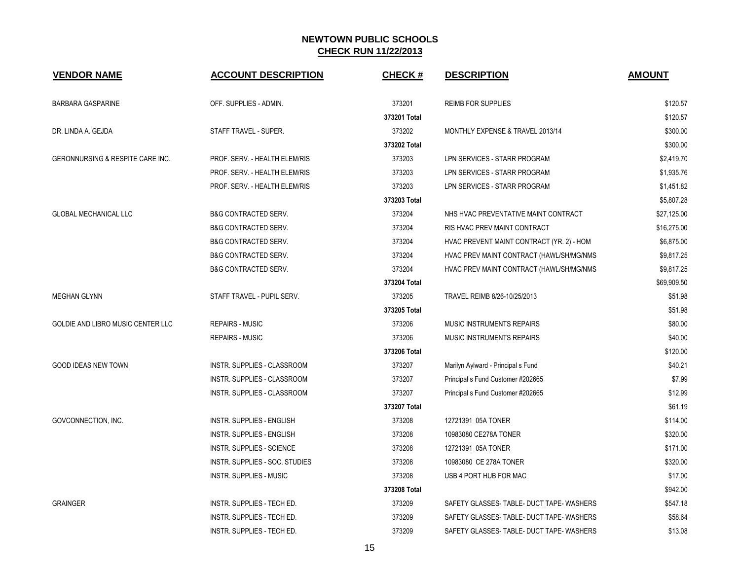| <b>VENDOR NAME</b>                          | <b>ACCOUNT DESCRIPTION</b>         | <b>CHECK#</b> | <b>DESCRIPTION</b>                        | <b>AMOUNT</b> |
|---------------------------------------------|------------------------------------|---------------|-------------------------------------------|---------------|
| <b>BARBARA GASPARINE</b>                    | OFF. SUPPLIES - ADMIN.             | 373201        | <b>REIMB FOR SUPPLIES</b>                 | \$120.57      |
|                                             |                                    | 373201 Total  |                                           | \$120.57      |
| DR. LINDA A. GEJDA                          | STAFF TRAVEL - SUPER.              | 373202        | MONTHLY EXPENSE & TRAVEL 2013/14          | \$300.00      |
|                                             |                                    | 373202 Total  |                                           | \$300.00      |
| <b>GERONNURSING &amp; RESPITE CARE INC.</b> | PROF. SERV. - HEALTH ELEM/RIS      | 373203        | LPN SERVICES - STARR PROGRAM              | \$2,419.70    |
|                                             | PROF. SERV. - HEALTH ELEM/RIS      | 373203        | LPN SERVICES - STARR PROGRAM              | \$1,935.76    |
|                                             | PROF. SERV. - HEALTH ELEM/RIS      | 373203        | LPN SERVICES - STARR PROGRAM              | \$1,451.82    |
|                                             |                                    | 373203 Total  |                                           | \$5,807.28    |
| <b>GLOBAL MECHANICAL LLC</b>                | <b>B&amp;G CONTRACTED SERV.</b>    | 373204        | NHS HVAC PREVENTATIVE MAINT CONTRACT      | \$27,125.00   |
|                                             | <b>B&amp;G CONTRACTED SERV.</b>    | 373204        | RIS HVAC PREV MAINT CONTRACT              | \$16,275.00   |
|                                             | <b>B&amp;G CONTRACTED SERV.</b>    | 373204        | HVAC PREVENT MAINT CONTRACT (YR. 2) - HOM | \$6,875.00    |
|                                             | <b>B&amp;G CONTRACTED SERV.</b>    | 373204        | HVAC PREV MAINT CONTRACT (HAWL/SH/MG/NMS  | \$9,817.25    |
|                                             | <b>B&amp;G CONTRACTED SERV.</b>    | 373204        | HVAC PREV MAINT CONTRACT (HAWL/SH/MG/NMS  | \$9,817.25    |
|                                             |                                    | 373204 Total  |                                           | \$69,909.50   |
| <b>MEGHAN GLYNN</b>                         | STAFF TRAVEL - PUPIL SERV.         | 373205        | TRAVEL REIMB 8/26-10/25/2013              | \$51.98       |
|                                             |                                    | 373205 Total  |                                           | \$51.98       |
| GOLDIE AND LIBRO MUSIC CENTER LLC           | <b>REPAIRS - MUSIC</b>             | 373206        | <b>MUSIC INSTRUMENTS REPAIRS</b>          | \$80.00       |
|                                             | <b>REPAIRS - MUSIC</b>             | 373206        | <b>MUSIC INSTRUMENTS REPAIRS</b>          | \$40.00       |
|                                             |                                    | 373206 Total  |                                           | \$120.00      |
| <b>GOOD IDEAS NEW TOWN</b>                  | INSTR. SUPPLIES - CLASSROOM        | 373207        | Marilyn Aylward - Principal s Fund        | \$40.21       |
|                                             | <b>INSTR. SUPPLIES - CLASSROOM</b> | 373207        | Principal s Fund Customer #202665         | \$7.99        |
|                                             | INSTR. SUPPLIES - CLASSROOM        | 373207        | Principal s Fund Customer #202665         | \$12.99       |
|                                             |                                    | 373207 Total  |                                           | \$61.19       |
| GOVCONNECTION, INC.                         | <b>INSTR. SUPPLIES - ENGLISH</b>   | 373208        | 12721391 05A TONER                        | \$114.00      |
|                                             | <b>INSTR. SUPPLIES - ENGLISH</b>   | 373208        | 10983080 CE278A TONER                     | \$320.00      |
|                                             | INSTR. SUPPLIES - SCIENCE          | 373208        | 12721391 05A TONER                        | \$171.00      |
|                                             | INSTR. SUPPLIES - SOC. STUDIES     | 373208        | 10983080 CE 278A TONER                    | \$320.00      |
|                                             | INSTR. SUPPLIES - MUSIC            | 373208        | USB 4 PORT HUB FOR MAC                    | \$17.00       |
|                                             |                                    | 373208 Total  |                                           | \$942.00      |
| <b>GRAINGER</b>                             | INSTR. SUPPLIES - TECH ED.         | 373209        | SAFETY GLASSES-TABLE-DUCT TAPE-WASHERS    | \$547.18      |
|                                             | INSTR. SUPPLIES - TECH ED.         | 373209        | SAFETY GLASSES-TABLE-DUCT TAPE-WASHERS    | \$58.64       |
|                                             | INSTR. SUPPLIES - TECH ED.         | 373209        | SAFETY GLASSES-TABLE-DUCT TAPE-WASHERS    | \$13.08       |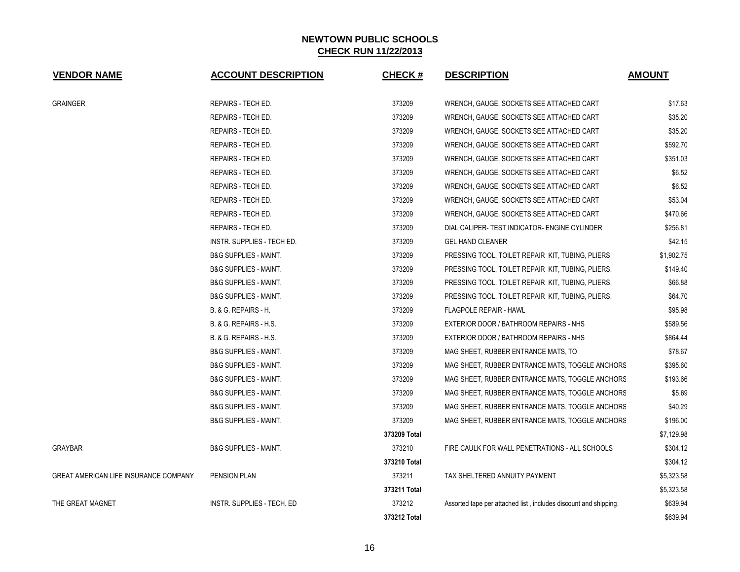| <b>VENDOR NAME</b>                    | <b>ACCOUNT DESCRIPTION</b>        | <b>CHECK#</b> | <b>DESCRIPTION</b>                                               | <b>AMOUNT</b> |
|---------------------------------------|-----------------------------------|---------------|------------------------------------------------------------------|---------------|
| <b>GRAINGER</b>                       | REPAIRS - TECH ED.                | 373209        | WRENCH, GAUGE, SOCKETS SEE ATTACHED CART                         | \$17.63       |
|                                       | <b>REPAIRS - TECH ED.</b>         | 373209        | WRENCH, GAUGE, SOCKETS SEE ATTACHED CART                         | \$35.20       |
|                                       | <b>REPAIRS - TECH ED.</b>         | 373209        | WRENCH, GAUGE, SOCKETS SEE ATTACHED CART                         | \$35.20       |
|                                       | <b>REPAIRS - TECH ED.</b>         | 373209        | WRENCH, GAUGE, SOCKETS SEE ATTACHED CART                         | \$592.70      |
|                                       | REPAIRS - TECH ED.                | 373209        | WRENCH, GAUGE, SOCKETS SEE ATTACHED CART                         | \$351.03      |
|                                       | REPAIRS - TECH ED.                | 373209        | WRENCH, GAUGE, SOCKETS SEE ATTACHED CART                         | \$6.52        |
|                                       | REPAIRS - TECH ED.                | 373209        | WRENCH, GAUGE, SOCKETS SEE ATTACHED CART                         | \$6.52        |
|                                       | REPAIRS - TECH ED.                | 373209        | WRENCH, GAUGE, SOCKETS SEE ATTACHED CART                         | \$53.04       |
|                                       | REPAIRS - TECH ED.                | 373209        | WRENCH, GAUGE, SOCKETS SEE ATTACHED CART                         | \$470.66      |
|                                       | <b>REPAIRS - TECH ED.</b>         | 373209        | DIAL CALIPER-TEST INDICATOR- ENGINE CYLINDER                     | \$256.81      |
|                                       | <b>INSTR. SUPPLIES - TECH ED.</b> | 373209        | <b>GEL HAND CLEANER</b>                                          | \$42.15       |
|                                       | <b>B&amp;G SUPPLIES - MAINT.</b>  | 373209        | PRESSING TOOL, TOILET REPAIR KIT, TUBING, PLIERS                 | \$1,902.75    |
|                                       | <b>B&amp;G SUPPLIES - MAINT.</b>  | 373209        | PRESSING TOOL, TOILET REPAIR KIT, TUBING, PLIERS,                | \$149.40      |
|                                       | <b>B&amp;G SUPPLIES - MAINT.</b>  | 373209        | PRESSING TOOL, TOILET REPAIR KIT, TUBING, PLIERS,                | \$66.88       |
|                                       | <b>B&amp;G SUPPLIES - MAINT.</b>  | 373209        | PRESSING TOOL, TOILET REPAIR KIT, TUBING, PLIERS,                | \$64.70       |
|                                       | B. & G. REPAIRS - H.              | 373209        | <b>FLAGPOLE REPAIR - HAWL</b>                                    | \$95.98       |
|                                       | B. & G. REPAIRS - H.S.            | 373209        | EXTERIOR DOOR / BATHROOM REPAIRS - NHS                           | \$589.56      |
|                                       | B. & G. REPAIRS - H.S.            | 373209        | EXTERIOR DOOR / BATHROOM REPAIRS - NHS                           | \$864.44      |
|                                       | <b>B&amp;G SUPPLIES - MAINT.</b>  | 373209        | MAG SHEET, RUBBER ENTRANCE MATS, TO                              | \$78.67       |
|                                       | <b>B&amp;G SUPPLIES - MAINT.</b>  | 373209        | MAG SHEET, RUBBER ENTRANCE MATS, TOGGLE ANCHORS                  | \$395.60      |
|                                       | <b>B&amp;G SUPPLIES - MAINT.</b>  | 373209        | MAG SHEET, RUBBER ENTRANCE MATS, TOGGLE ANCHORS                  | \$193.66      |
|                                       | <b>B&amp;G SUPPLIES - MAINT.</b>  | 373209        | MAG SHEET, RUBBER ENTRANCE MATS, TOGGLE ANCHORS                  | \$5.69        |
|                                       | <b>B&amp;G SUPPLIES - MAINT.</b>  | 373209        | MAG SHEET, RUBBER ENTRANCE MATS, TOGGLE ANCHORS                  | \$40.29       |
|                                       | <b>B&amp;G SUPPLIES - MAINT.</b>  | 373209        | MAG SHEET, RUBBER ENTRANCE MATS, TOGGLE ANCHORS                  | \$196.00      |
|                                       |                                   | 373209 Total  |                                                                  | \$7,129.98    |
| <b>GRAYBAR</b>                        | <b>B&amp;G SUPPLIES - MAINT.</b>  | 373210        | FIRE CAULK FOR WALL PENETRATIONS - ALL SCHOOLS                   | \$304.12      |
|                                       |                                   | 373210 Total  |                                                                  | \$304.12      |
| GREAT AMERICAN LIFE INSURANCE COMPANY | PENSION PLAN                      | 373211        | TAX SHELTERED ANNUITY PAYMENT                                    | \$5,323.58    |
|                                       |                                   | 373211 Total  |                                                                  | \$5,323.58    |
| THE GREAT MAGNET                      | INSTR. SUPPLIES - TECH. ED        | 373212        | Assorted tape per attached list, includes discount and shipping. | \$639.94      |
|                                       |                                   | 373212 Total  |                                                                  | \$639.94      |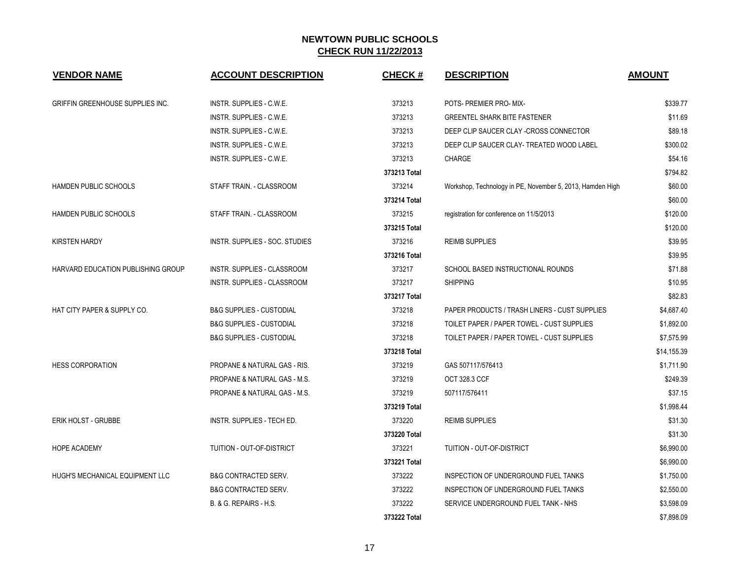| <b>VENDOR NAME</b>                        | <b>ACCOUNT DESCRIPTION</b>              | <b>CHECK#</b> | <b>DESCRIPTION</b>                                        | <b>AMOUNT</b> |
|-------------------------------------------|-----------------------------------------|---------------|-----------------------------------------------------------|---------------|
| GRIFFIN GREENHOUSE SUPPLIES INC.          | INSTR. SUPPLIES - C.W.E.                | 373213        | POTS- PREMIER PRO- MIX-                                   | \$339.77      |
|                                           | INSTR. SUPPLIES - C.W.E.                | 373213        | <b>GREENTEL SHARK BITE FASTENER</b>                       | \$11.69       |
|                                           | INSTR. SUPPLIES - C.W.E.                | 373213        | DEEP CLIP SAUCER CLAY -CROSS CONNECTOR                    | \$89.18       |
|                                           | INSTR. SUPPLIES - C.W.E.                | 373213        | DEEP CLIP SAUCER CLAY- TREATED WOOD LABEL                 | \$300.02      |
|                                           | INSTR. SUPPLIES - C.W.E.                | 373213        | CHARGE                                                    | \$54.16       |
|                                           |                                         | 373213 Total  |                                                           | \$794.82      |
| <b>HAMDEN PUBLIC SCHOOLS</b>              | STAFF TRAIN. - CLASSROOM                | 373214        | Workshop, Technology in PE, November 5, 2013, Hamden High | \$60.00       |
|                                           |                                         | 373214 Total  |                                                           | \$60.00       |
| <b>HAMDEN PUBLIC SCHOOLS</b>              | STAFF TRAIN. - CLASSROOM                | 373215        | registration for conference on 11/5/2013                  | \$120.00      |
|                                           |                                         | 373215 Total  |                                                           | \$120.00      |
| <b>KIRSTEN HARDY</b>                      | INSTR. SUPPLIES - SOC. STUDIES          | 373216        | <b>REIMB SUPPLIES</b>                                     | \$39.95       |
|                                           |                                         | 373216 Total  |                                                           | \$39.95       |
| <b>HARVARD EDUCATION PUBLISHING GROUP</b> | <b>INSTR. SUPPLIES - CLASSROOM</b>      | 373217        | SCHOOL BASED INSTRUCTIONAL ROUNDS                         | \$71.88       |
|                                           | INSTR. SUPPLIES - CLASSROOM             | 373217        | <b>SHIPPING</b>                                           | \$10.95       |
|                                           |                                         | 373217 Total  |                                                           | \$82.83       |
| HAT CITY PAPER & SUPPLY CO.               | <b>B&amp;G SUPPLIES - CUSTODIAL</b>     | 373218        | PAPER PRODUCTS / TRASH LINERS - CUST SUPPLIES             | \$4,687.40    |
|                                           | <b>B&amp;G SUPPLIES - CUSTODIAL</b>     | 373218        | TOILET PAPER / PAPER TOWEL - CUST SUPPLIES                | \$1,892.00    |
|                                           | <b>B&amp;G SUPPLIES - CUSTODIAL</b>     | 373218        | TOILET PAPER / PAPER TOWEL - CUST SUPPLIES                | \$7,575.99    |
|                                           |                                         | 373218 Total  |                                                           | \$14,155.39   |
| <b>HESS CORPORATION</b>                   | <b>PROPANE &amp; NATURAL GAS - RIS.</b> | 373219        | GAS 507117/576413                                         | \$1,711.90    |
|                                           | PROPANE & NATURAL GAS - M.S.            | 373219        | OCT 328.3 CCF                                             | \$249.39      |
|                                           | PROPANE & NATURAL GAS - M.S.            | 373219        | 507117/576411                                             | \$37.15       |
|                                           |                                         | 373219 Total  |                                                           | \$1,998.44    |
| <b>ERIK HOLST - GRUBBE</b>                | INSTR. SUPPLIES - TECH ED.              | 373220        | <b>REIMB SUPPLIES</b>                                     | \$31.30       |
|                                           |                                         | 373220 Total  |                                                           | \$31.30       |
| <b>HOPE ACADEMY</b>                       | TUITION - OUT-OF-DISTRICT               | 373221        | TUITION - OUT-OF-DISTRICT                                 | \$6,990.00    |
|                                           |                                         | 373221 Total  |                                                           | \$6,990.00    |
| HUGH'S MECHANICAL EQUIPMENT LLC           | <b>B&amp;G CONTRACTED SERV.</b>         | 373222        | INSPECTION OF UNDERGROUND FUEL TANKS                      | \$1,750.00    |
|                                           | <b>B&amp;G CONTRACTED SERV.</b>         | 373222        | INSPECTION OF UNDERGROUND FUEL TANKS                      | \$2,550.00    |
|                                           | B. & G. REPAIRS - H.S.                  | 373222        | SERVICE UNDERGROUND FUEL TANK - NHS                       | \$3,598.09    |
|                                           |                                         | 373222 Total  |                                                           | \$7,898.09    |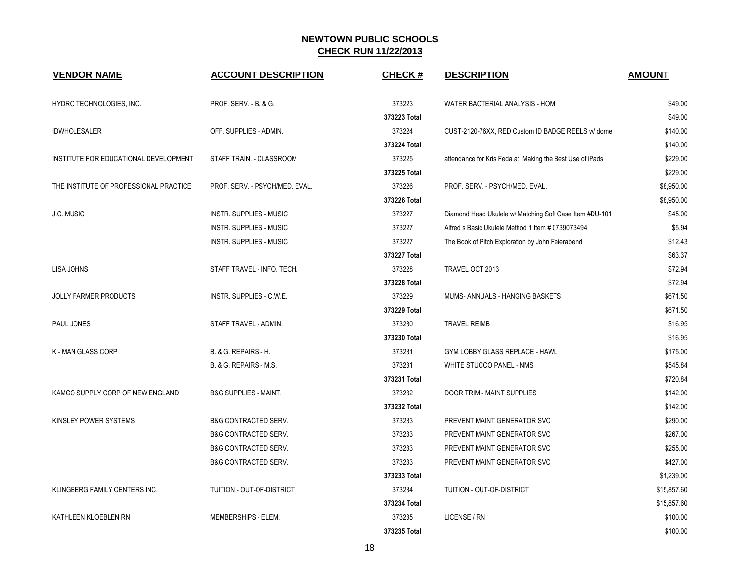| <b>VENDOR NAME</b>                     | <b>ACCOUNT DESCRIPTION</b>       | <b>CHECK#</b> | <b>DESCRIPTION</b>                                       | <b>AMOUNT</b> |
|----------------------------------------|----------------------------------|---------------|----------------------------------------------------------|---------------|
| HYDRO TECHNOLOGIES, INC.               | PROF. SERV. - B. & G.            | 373223        | WATER BACTERIAL ANALYSIS - HOM                           | \$49.00       |
|                                        |                                  | 373223 Total  |                                                          | \$49.00       |
| <b>IDWHOLESALER</b>                    | OFF. SUPPLIES - ADMIN.           | 373224        | CUST-2120-76XX, RED Custom ID BADGE REELS w/ dome        | \$140.00      |
|                                        |                                  | 373224 Total  |                                                          | \$140.00      |
| INSTITUTE FOR EDUCATIONAL DEVELOPMENT  | STAFF TRAIN. - CLASSROOM         | 373225        | attendance for Kris Feda at Making the Best Use of iPads | \$229.00      |
|                                        |                                  | 373225 Total  |                                                          | \$229.00      |
| THE INSTITUTE OF PROFESSIONAL PRACTICE | PROF. SERV. - PSYCH/MED. EVAL.   | 373226        | PROF. SERV. - PSYCH/MED. EVAL.                           | \$8,950.00    |
|                                        |                                  | 373226 Total  |                                                          | \$8,950.00    |
| J.C. MUSIC                             | <b>INSTR. SUPPLIES - MUSIC</b>   | 373227        | Diamond Head Ukulele w/ Matching Soft Case Item #DU-101  | \$45.00       |
|                                        | <b>INSTR. SUPPLIES - MUSIC</b>   | 373227        | Alfred s Basic Ukulele Method 1 Item # 0739073494        | \$5.94        |
|                                        | <b>INSTR. SUPPLIES - MUSIC</b>   | 373227        | The Book of Pitch Exploration by John Feierabend         | \$12.43       |
|                                        |                                  | 373227 Total  |                                                          | \$63.37       |
| LISA JOHNS                             | STAFF TRAVEL - INFO. TECH.       | 373228        | TRAVEL OCT 2013                                          | \$72.94       |
|                                        |                                  | 373228 Total  |                                                          | \$72.94       |
| <b>JOLLY FARMER PRODUCTS</b>           | INSTR. SUPPLIES - C.W.E.         | 373229        | MUMS-ANNUALS - HANGING BASKETS                           | \$671.50      |
|                                        |                                  | 373229 Total  |                                                          | \$671.50      |
| PAUL JONES                             | STAFF TRAVEL - ADMIN.            | 373230        | <b>TRAVEL REIMB</b>                                      | \$16.95       |
|                                        |                                  | 373230 Total  |                                                          | \$16.95       |
| <b>K-MAN GLASS CORP</b>                | B. & G. REPAIRS - H.             | 373231        | GYM LOBBY GLASS REPLACE - HAWL                           | \$175.00      |
|                                        | B. & G. REPAIRS - M.S.           | 373231        | WHITE STUCCO PANEL - NMS                                 | \$545.84      |
|                                        |                                  | 373231 Total  |                                                          | \$720.84      |
| KAMCO SUPPLY CORP OF NEW ENGLAND       | <b>B&amp;G SUPPLIES - MAINT.</b> | 373232        | DOOR TRIM - MAINT SUPPLIES                               | \$142.00      |
|                                        |                                  | 373232 Total  |                                                          | \$142.00      |
| KINSLEY POWER SYSTEMS                  | <b>B&amp;G CONTRACTED SERV.</b>  | 373233        | PREVENT MAINT GENERATOR SVC                              | \$290.00      |
|                                        | <b>B&amp;G CONTRACTED SERV.</b>  | 373233        | PREVENT MAINT GENERATOR SVC                              | \$267.00      |
|                                        | <b>B&amp;G CONTRACTED SERV.</b>  | 373233        | PREVENT MAINT GENERATOR SVC                              | \$255.00      |
|                                        | <b>B&amp;G CONTRACTED SERV.</b>  | 373233        | PREVENT MAINT GENERATOR SVC                              | \$427.00      |
|                                        |                                  | 373233 Total  |                                                          | \$1,239.00    |
| KLINGBERG FAMILY CENTERS INC.          | TUITION - OUT-OF-DISTRICT        | 373234        | TUITION - OUT-OF-DISTRICT                                | \$15,857.60   |
|                                        |                                  | 373234 Total  |                                                          | \$15,857.60   |
| KATHLEEN KLOEBLEN RN                   | MEMBERSHIPS - ELEM.              | 373235        | LICENSE / RN                                             | \$100.00      |
|                                        |                                  | 373235 Total  |                                                          | \$100.00      |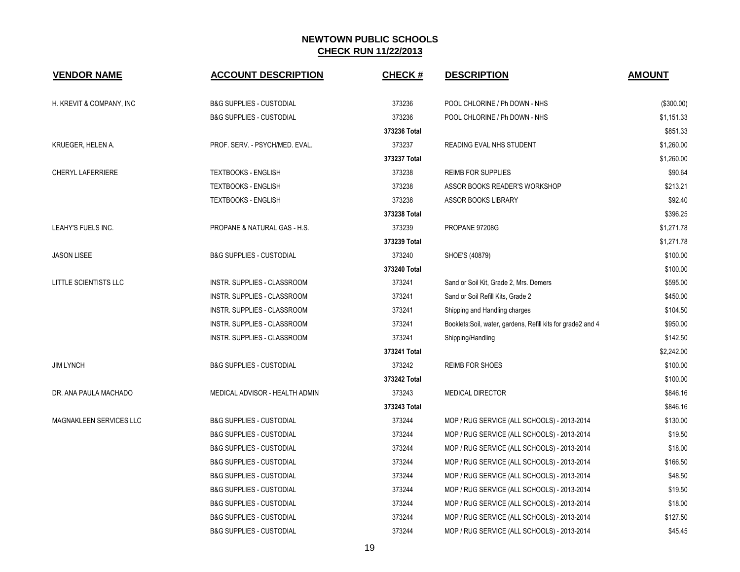| <b>VENDOR NAME</b>       | <b>ACCOUNT DESCRIPTION</b>          | <b>CHECK#</b> | <b>DESCRIPTION</b>                                          | <b>AMOUNT</b> |
|--------------------------|-------------------------------------|---------------|-------------------------------------------------------------|---------------|
| H. KREVIT & COMPANY, INC | <b>B&amp;G SUPPLIES - CUSTODIAL</b> | 373236        | POOL CHLORINE / Ph DOWN - NHS                               | (\$300.00)    |
|                          | <b>B&amp;G SUPPLIES - CUSTODIAL</b> | 373236        | POOL CHLORINE / Ph DOWN - NHS                               | \$1,151.33    |
|                          |                                     | 373236 Total  |                                                             | \$851.33      |
| KRUEGER, HELEN A.        | PROF. SERV. - PSYCH/MED. EVAL.      | 373237        | READING EVAL NHS STUDENT                                    | \$1,260.00    |
|                          |                                     | 373237 Total  |                                                             | \$1,260.00    |
| <b>CHERYL LAFERRIERE</b> | <b>TEXTBOOKS - ENGLISH</b>          | 373238        | <b>REIMB FOR SUPPLIES</b>                                   | \$90.64       |
|                          | <b>TEXTBOOKS - ENGLISH</b>          | 373238        | ASSOR BOOKS READER'S WORKSHOP                               | \$213.21      |
|                          | <b>TEXTBOOKS - ENGLISH</b>          | 373238        | <b>ASSOR BOOKS LIBRARY</b>                                  | \$92.40       |
|                          |                                     | 373238 Total  |                                                             | \$396.25      |
| LEAHY'S FUELS INC.       | PROPANE & NATURAL GAS - H.S.        | 373239        | PROPANE 97208G                                              | \$1,271.78    |
|                          |                                     | 373239 Total  |                                                             | \$1,271.78    |
| <b>JASON LISEE</b>       | <b>B&amp;G SUPPLIES - CUSTODIAL</b> | 373240        | SHOE'S (40879)                                              | \$100.00      |
|                          |                                     | 373240 Total  |                                                             | \$100.00      |
| LITTLE SCIENTISTS LLC    | INSTR. SUPPLIES - CLASSROOM         | 373241        | Sand or Soil Kit, Grade 2, Mrs. Demers                      | \$595.00      |
|                          | INSTR. SUPPLIES - CLASSROOM         | 373241        | Sand or Soil Refill Kits, Grade 2                           | \$450.00      |
|                          | INSTR. SUPPLIES - CLASSROOM         | 373241        | Shipping and Handling charges                               | \$104.50      |
|                          | INSTR. SUPPLIES - CLASSROOM         | 373241        | Booklets:Soil, water, gardens, Refill kits for grade2 and 4 | \$950.00      |
|                          | INSTR. SUPPLIES - CLASSROOM         | 373241        | Shipping/Handling                                           | \$142.50      |
|                          |                                     | 373241 Total  |                                                             | \$2,242.00    |
| <b>JIM LYNCH</b>         | <b>B&amp;G SUPPLIES - CUSTODIAL</b> | 373242        | <b>REIMB FOR SHOES</b>                                      | \$100.00      |
|                          |                                     | 373242 Total  |                                                             | \$100.00      |
| DR. ANA PAULA MACHADO    | MEDICAL ADVISOR - HEALTH ADMIN      | 373243        | <b>MEDICAL DIRECTOR</b>                                     | \$846.16      |
|                          |                                     | 373243 Total  |                                                             | \$846.16      |
| MAGNAKLEEN SERVICES LLC  | <b>B&amp;G SUPPLIES - CUSTODIAL</b> | 373244        | MOP / RUG SERVICE (ALL SCHOOLS) - 2013-2014                 | \$130.00      |
|                          | <b>B&amp;G SUPPLIES - CUSTODIAL</b> | 373244        | MOP / RUG SERVICE (ALL SCHOOLS) - 2013-2014                 | \$19.50       |
|                          | <b>B&amp;G SUPPLIES - CUSTODIAL</b> | 373244        | MOP / RUG SERVICE (ALL SCHOOLS) - 2013-2014                 | \$18.00       |
|                          | <b>B&amp;G SUPPLIES - CUSTODIAL</b> | 373244        | MOP / RUG SERVICE (ALL SCHOOLS) - 2013-2014                 | \$166.50      |
|                          | <b>B&amp;G SUPPLIES - CUSTODIAL</b> | 373244        | MOP / RUG SERVICE (ALL SCHOOLS) - 2013-2014                 | \$48.50       |
|                          | <b>B&amp;G SUPPLIES - CUSTODIAL</b> | 373244        | MOP / RUG SERVICE (ALL SCHOOLS) - 2013-2014                 | \$19.50       |
|                          | <b>B&amp;G SUPPLIES - CUSTODIAL</b> | 373244        | MOP / RUG SERVICE (ALL SCHOOLS) - 2013-2014                 | \$18.00       |
|                          | <b>B&amp;G SUPPLIES - CUSTODIAL</b> | 373244        | MOP / RUG SERVICE (ALL SCHOOLS) - 2013-2014                 | \$127.50      |
|                          | <b>B&amp;G SUPPLIES - CUSTODIAL</b> | 373244        | MOP / RUG SERVICE (ALL SCHOOLS) - 2013-2014                 | \$45.45       |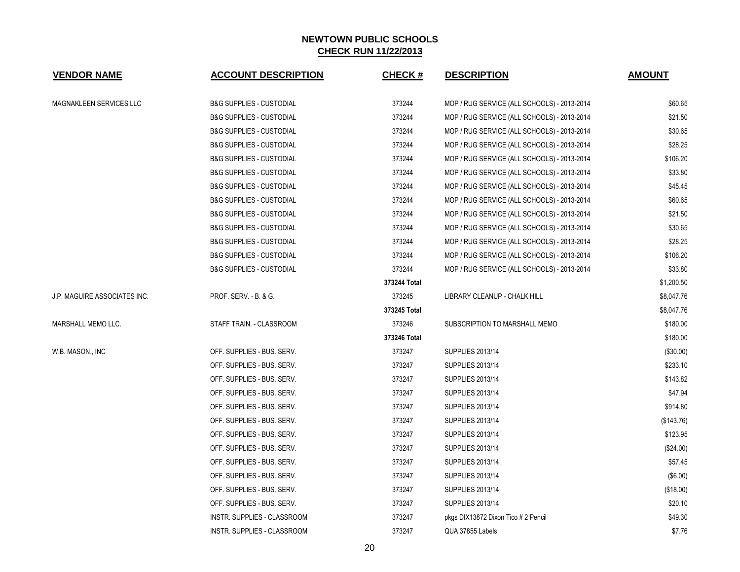| <b>VENDOR NAME</b>           | <b>ACCOUNT DESCRIPTION</b>          | <b>CHECK#</b> | <b>DESCRIPTION</b>                          | <b>AMOUNT</b> |
|------------------------------|-------------------------------------|---------------|---------------------------------------------|---------------|
| MAGNAKLEEN SERVICES LLC      | <b>B&amp;G SUPPLIES - CUSTODIAL</b> | 373244        | MOP / RUG SERVICE (ALL SCHOOLS) - 2013-2014 | \$60.65       |
|                              | <b>B&amp;G SUPPLIES - CUSTODIAL</b> | 373244        | MOP / RUG SERVICE (ALL SCHOOLS) - 2013-2014 | \$21.50       |
|                              | <b>B&amp;G SUPPLIES - CUSTODIAL</b> | 373244        | MOP / RUG SERVICE (ALL SCHOOLS) - 2013-2014 | \$30.65       |
|                              | <b>B&amp;G SUPPLIES - CUSTODIAL</b> | 373244        | MOP / RUG SERVICE (ALL SCHOOLS) - 2013-2014 | \$28.25       |
|                              | <b>B&amp;G SUPPLIES - CUSTODIAL</b> | 373244        | MOP / RUG SERVICE (ALL SCHOOLS) - 2013-2014 | \$106.20      |
|                              | <b>B&amp;G SUPPLIES - CUSTODIAL</b> | 373244        | MOP / RUG SERVICE (ALL SCHOOLS) - 2013-2014 | \$33.80       |
|                              | <b>B&amp;G SUPPLIES - CUSTODIAL</b> | 373244        | MOP / RUG SERVICE (ALL SCHOOLS) - 2013-2014 | \$45.45       |
|                              | <b>B&amp;G SUPPLIES - CUSTODIAL</b> | 373244        | MOP / RUG SERVICE (ALL SCHOOLS) - 2013-2014 | \$60.65       |
|                              | <b>B&amp;G SUPPLIES - CUSTODIAL</b> | 373244        | MOP / RUG SERVICE (ALL SCHOOLS) - 2013-2014 | \$21.50       |
|                              | <b>B&amp;G SUPPLIES - CUSTODIAL</b> | 373244        | MOP / RUG SERVICE (ALL SCHOOLS) - 2013-2014 | \$30.65       |
|                              | <b>B&amp;G SUPPLIES - CUSTODIAL</b> | 373244        | MOP / RUG SERVICE (ALL SCHOOLS) - 2013-2014 | \$28.25       |
|                              | <b>B&amp;G SUPPLIES - CUSTODIAL</b> | 373244        | MOP / RUG SERVICE (ALL SCHOOLS) - 2013-2014 | \$106.20      |
|                              | <b>B&amp;G SUPPLIES - CUSTODIAL</b> | 373244        | MOP / RUG SERVICE (ALL SCHOOLS) - 2013-2014 | \$33.80       |
|                              |                                     | 373244 Total  |                                             | \$1,200.50    |
| J.P. MAGUIRE ASSOCIATES INC. | PROF. SERV. - B. & G.               | 373245        | LIBRARY CLEANUP - CHALK HILL                | \$8,047.76    |
|                              |                                     | 373245 Total  |                                             | \$8,047.76    |
| MARSHALL MEMO LLC.           | STAFF TRAIN. - CLASSROOM            | 373246        | SUBSCRIPTION TO MARSHALL MEMO               | \$180.00      |
|                              |                                     | 373246 Total  |                                             | \$180.00      |
| W.B. MASON., INC             | OFF. SUPPLIES - BUS. SERV.          | 373247        | <b>SUPPLIES 2013/14</b>                     | (\$30.00)     |
|                              | OFF. SUPPLIES - BUS. SERV.          | 373247        | <b>SUPPLIES 2013/14</b>                     | \$233.10      |
|                              | OFF. SUPPLIES - BUS. SERV.          | 373247        | <b>SUPPLIES 2013/14</b>                     | \$143.82      |
|                              | OFF. SUPPLIES - BUS. SERV.          | 373247        | <b>SUPPLIES 2013/14</b>                     | \$47.94       |
|                              | OFF. SUPPLIES - BUS. SERV.          | 373247        | SUPPLIES 2013/14                            | \$914.80      |
|                              | OFF. SUPPLIES - BUS. SERV.          | 373247        | SUPPLIES 2013/14                            | (\$143.76)    |
|                              | OFF. SUPPLIES - BUS. SERV.          | 373247        | SUPPLIES 2013/14                            | \$123.95      |
|                              | OFF. SUPPLIES - BUS. SERV.          | 373247        | SUPPLIES 2013/14                            | (\$24.00)     |
|                              | OFF. SUPPLIES - BUS. SERV.          | 373247        | SUPPLIES 2013/14                            | \$57.45       |
|                              | OFF. SUPPLIES - BUS. SERV.          | 373247        | <b>SUPPLIES 2013/14</b>                     | (\$6.00)      |
|                              | OFF. SUPPLIES - BUS. SERV.          | 373247        | <b>SUPPLIES 2013/14</b>                     | (\$18.00)     |
|                              | OFF. SUPPLIES - BUS. SERV.          | 373247        | <b>SUPPLIES 2013/14</b>                     | \$20.10       |
|                              | INSTR. SUPPLIES - CLASSROOM         | 373247        | pkgs DIX13872 Dixon Tico # 2 Pencil         | \$49.30       |
|                              | INSTR. SUPPLIES - CLASSROOM         | 373247        | QUA 37855 Labels                            | \$7.76        |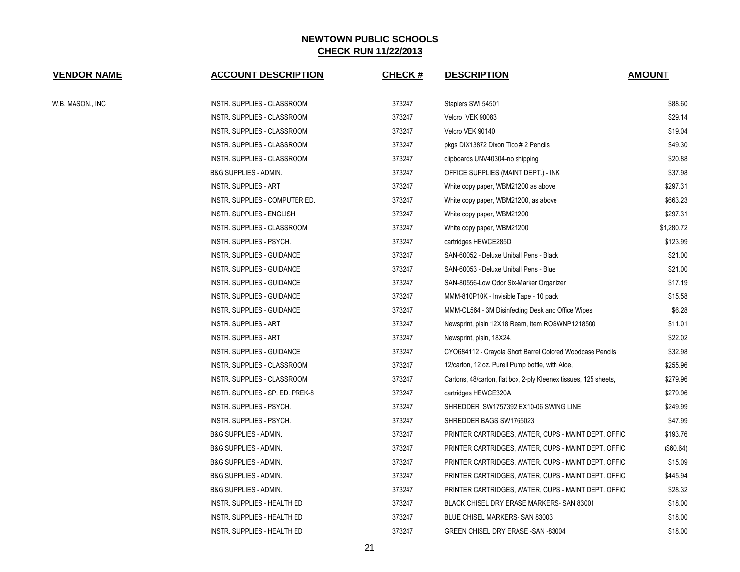| <b>VENDOR NAME</b> | <b>ACCOUNT DESCRIPTION</b>        | <b>CHECK#</b> | <b>DESCRIPTION</b>                                               | <b>AMOUNT</b> |
|--------------------|-----------------------------------|---------------|------------------------------------------------------------------|---------------|
| W.B. MASON., INC   | INSTR. SUPPLIES - CLASSROOM       | 373247        | Staplers SWI 54501                                               | \$88.60       |
|                    | INSTR. SUPPLIES - CLASSROOM       | 373247        | Velcro VEK 90083                                                 | \$29.14       |
|                    | INSTR. SUPPLIES - CLASSROOM       | 373247        | Velcro VEK 90140                                                 | \$19.04       |
|                    | INSTR. SUPPLIES - CLASSROOM       | 373247        | pkgs DIX13872 Dixon Tico # 2 Pencils                             | \$49.30       |
|                    | INSTR. SUPPLIES - CLASSROOM       | 373247        | clipboards UNV40304-no shipping                                  | \$20.88       |
|                    | <b>B&amp;G SUPPLIES - ADMIN.</b>  | 373247        | OFFICE SUPPLIES (MAINT DEPT.) - INK                              | \$37.98       |
|                    | <b>INSTR. SUPPLIES - ART</b>      | 373247        | White copy paper, WBM21200 as above                              | \$297.31      |
|                    | INSTR. SUPPLIES - COMPUTER ED.    | 373247        | White copy paper, WBM21200, as above                             | \$663.23      |
|                    | INSTR. SUPPLIES - ENGLISH         | 373247        | White copy paper, WBM21200                                       | \$297.31      |
|                    | INSTR. SUPPLIES - CLASSROOM       | 373247        | White copy paper, WBM21200                                       | \$1,280.72    |
|                    | INSTR. SUPPLIES - PSYCH.          | 373247        | cartridges HEWCE285D                                             | \$123.99      |
|                    | INSTR. SUPPLIES - GUIDANCE        | 373247        | SAN-60052 - Deluxe Uniball Pens - Black                          | \$21.00       |
|                    | INSTR. SUPPLIES - GUIDANCE        | 373247        | SAN-60053 - Deluxe Uniball Pens - Blue                           | \$21.00       |
|                    | INSTR. SUPPLIES - GUIDANCE        | 373247        | SAN-80556-Low Odor Six-Marker Organizer                          | \$17.19       |
|                    | <b>INSTR. SUPPLIES - GUIDANCE</b> | 373247        | MMM-810P10K - Invisible Tape - 10 pack                           | \$15.58       |
|                    | INSTR. SUPPLIES - GUIDANCE        | 373247        | MMM-CL564 - 3M Disinfecting Desk and Office Wipes                | \$6.28        |
|                    | <b>INSTR. SUPPLIES - ART</b>      | 373247        | Newsprint, plain 12X18 Ream, Item ROSWNP1218500                  | \$11.01       |
|                    | <b>INSTR. SUPPLIES - ART</b>      | 373247        | Newsprint, plain, 18X24.                                         | \$22.02       |
|                    | INSTR. SUPPLIES - GUIDANCE        | 373247        | CYO684112 - Crayola Short Barrel Colored Woodcase Pencils        | \$32.98       |
|                    | INSTR. SUPPLIES - CLASSROOM       | 373247        | 12/carton, 12 oz. Purell Pump bottle, with Aloe,                 | \$255.96      |
|                    | INSTR. SUPPLIES - CLASSROOM       | 373247        | Cartons, 48/carton, flat box, 2-ply Kleenex tissues, 125 sheets, | \$279.96      |
|                    | INSTR. SUPPLIES - SP. ED. PREK-8  | 373247        | cartridges HEWCE320A                                             | \$279.96      |
|                    | INSTR. SUPPLIES - PSYCH.          | 373247        | SHREDDER SW1757392 EX10-06 SWING LINE                            | \$249.99      |
|                    | INSTR. SUPPLIES - PSYCH.          | 373247        | SHREDDER BAGS SW1765023                                          | \$47.99       |
|                    | <b>B&amp;G SUPPLIES - ADMIN.</b>  | 373247        | PRINTER CARTRIDGES, WATER, CUPS - MAINT DEPT. OFFICI             | \$193.76      |
|                    | <b>B&amp;G SUPPLIES - ADMIN.</b>  | 373247        | PRINTER CARTRIDGES, WATER, CUPS - MAINT DEPT. OFFICI             | $(\$60.64)$   |
|                    | <b>B&amp;G SUPPLIES - ADMIN.</b>  | 373247        | PRINTER CARTRIDGES, WATER, CUPS - MAINT DEPT. OFFICI             | \$15.09       |
|                    | <b>B&amp;G SUPPLIES - ADMIN.</b>  | 373247        | PRINTER CARTRIDGES, WATER, CUPS - MAINT DEPT. OFFICI             | \$445.94      |
|                    | <b>B&amp;G SUPPLIES - ADMIN.</b>  | 373247        | PRINTER CARTRIDGES, WATER, CUPS - MAINT DEPT. OFFICI             | \$28.32       |
|                    | INSTR. SUPPLIES - HEALTH ED       | 373247        | <b>BLACK CHISEL DRY ERASE MARKERS- SAN 83001</b>                 | \$18.00       |
|                    | INSTR. SUPPLIES - HEALTH ED       | 373247        | BLUE CHISEL MARKERS- SAN 83003                                   | \$18.00       |
|                    | INSTR. SUPPLIES - HEALTH ED       | 373247        | GREEN CHISEL DRY ERASE - SAN -83004                              | \$18.00       |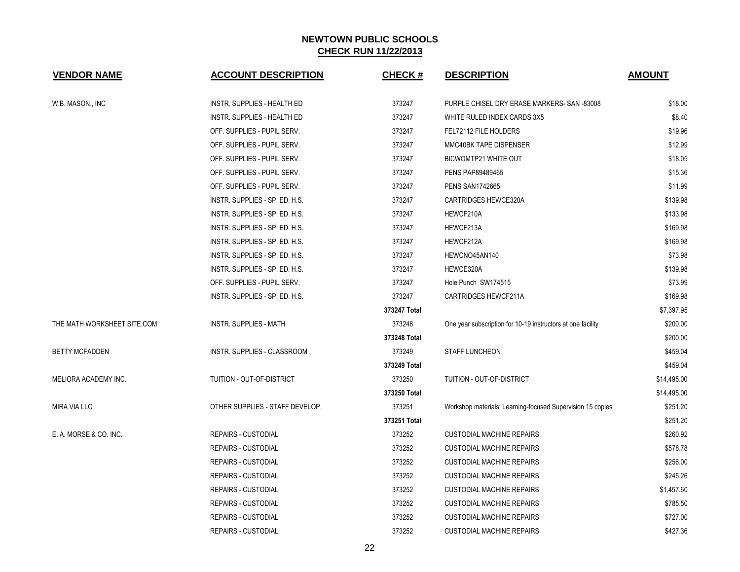| <b>VENDOR NAME</b>          | <b>ACCOUNT DESCRIPTION</b>      | <b>CHECK#</b> | <b>DESCRIPTION</b>                                          | <b>AMOUNT</b> |
|-----------------------------|---------------------------------|---------------|-------------------------------------------------------------|---------------|
| W.B. MASON., INC            | INSTR. SUPPLIES - HEALTH ED     | 373247        | PURPLE CHISEL DRY ERASE MARKERS- SAN -83008                 | \$18.00       |
|                             | INSTR. SUPPLIES - HEALTH ED     | 373247        | WHITE RULED INDEX CARDS 3X5                                 | \$8.40        |
|                             | OFF. SUPPLIES - PUPIL SERV.     | 373247        | FEL72112 FILE HOLDERS                                       | \$19.96       |
|                             | OFF. SUPPLIES - PUPIL SERV.     | 373247        | MMC40BK TAPE DISPENSER                                      | \$12.99       |
|                             | OFF. SUPPLIES - PUPIL SERV.     | 373247        | BICWOMTP21 WHITE OUT                                        | \$18.05       |
|                             | OFF. SUPPLIES - PUPIL SERV.     | 373247        | PENS PAP89489465                                            | \$15.36       |
|                             | OFF. SUPPLIES - PUPIL SERV.     | 373247        | <b>PENS SAN1742665</b>                                      | \$11.99       |
|                             | INSTR. SUPPLIES - SP. ED. H.S.  | 373247        | <b>CARTRIDGES HEWCE320A</b>                                 | \$139.98      |
|                             | INSTR. SUPPLIES - SP. ED. H.S.  | 373247        | HEWCF210A                                                   | \$133.98      |
|                             | INSTR. SUPPLIES - SP. ED. H.S.  | 373247        | HEWCF213A                                                   | \$169.98      |
|                             | INSTR. SUPPLIES - SP. ED. H.S.  | 373247        | HEWCF212A                                                   | \$169.98      |
|                             | INSTR. SUPPLIES - SP. ED. H.S.  | 373247        | HEWCNO45AN140                                               | \$73.98       |
|                             | INSTR. SUPPLIES - SP. ED. H.S.  | 373247        | HEWCE320A                                                   | \$139.98      |
|                             | OFF. SUPPLIES - PUPIL SERV.     | 373247        | Hole Punch SW174515                                         | \$73.99       |
|                             | INSTR. SUPPLIES - SP. ED. H.S.  | 373247        | CARTRIDGES HEWCF211A                                        | \$169.98      |
|                             |                                 | 373247 Total  |                                                             | \$7,397.95    |
| THE MATH WORKSHEET SITE.COM | <b>INSTR. SUPPLIES - MATH</b>   | 373248        | One year subscription for 10-19 instructors at one facility | \$200.00      |
|                             |                                 | 373248 Total  |                                                             | \$200.00      |
| <b>BETTY MCFADDEN</b>       | INSTR. SUPPLIES - CLASSROOM     | 373249        | <b>STAFF LUNCHEON</b>                                       | \$459.04      |
|                             |                                 | 373249 Total  |                                                             | \$459.04      |
| MELIORA ACADEMY INC.        | TUITION - OUT-OF-DISTRICT       | 373250        | TUITION - OUT-OF-DISTRICT                                   | \$14,495.00   |
|                             |                                 | 373250 Total  |                                                             | \$14,495.00   |
| <b>MIRA VIA LLC</b>         | OTHER SUPPLIES - STAFF DEVELOP. | 373251        | Workshop materials: Learning-focused Supervision 15 copies  | \$251.20      |
|                             |                                 | 373251 Total  |                                                             | \$251.20      |
| E. A. MORSE & CO. INC.      | <b>REPAIRS - CUSTODIAL</b>      | 373252        | <b>CUSTODIAL MACHINE REPAIRS</b>                            | \$260.92      |
|                             | <b>REPAIRS - CUSTODIAL</b>      | 373252        | <b>CUSTODIAL MACHINE REPAIRS</b>                            | \$578.78      |
|                             | <b>REPAIRS - CUSTODIAL</b>      | 373252        | <b>CUSTODIAL MACHINE REPAIRS</b>                            | \$256.00      |
|                             | <b>REPAIRS - CUSTODIAL</b>      | 373252        | <b>CUSTODIAL MACHINE REPAIRS</b>                            | \$245.26      |
|                             | <b>REPAIRS - CUSTODIAL</b>      | 373252        | <b>CUSTODIAL MACHINE REPAIRS</b>                            | \$1,457.60    |
|                             | <b>REPAIRS - CUSTODIAL</b>      | 373252        | <b>CUSTODIAL MACHINE REPAIRS</b>                            | \$785.50      |
|                             | <b>REPAIRS - CUSTODIAL</b>      | 373252        | <b>CUSTODIAL MACHINE REPAIRS</b>                            | \$727.00      |
|                             | <b>REPAIRS - CUSTODIAL</b>      | 373252        | <b>CUSTODIAL MACHINE REPAIRS</b>                            | \$427.36      |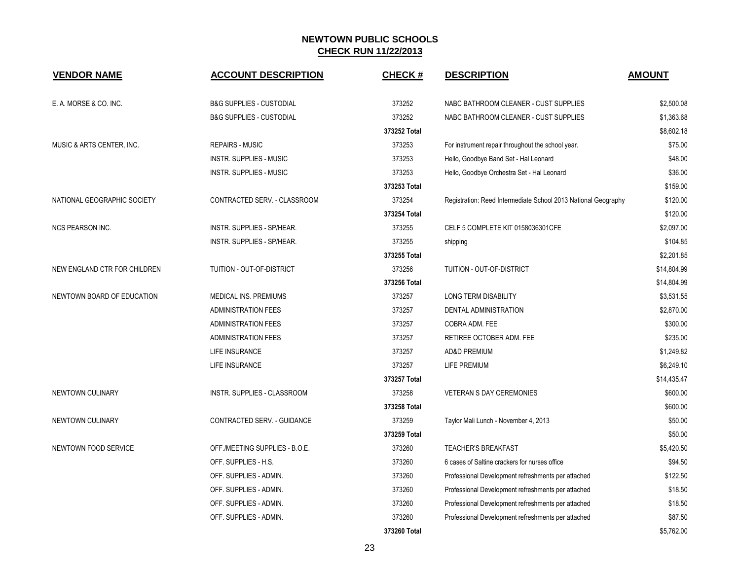| <b>VENDOR NAME</b>           | <b>ACCOUNT DESCRIPTION</b>          | <b>CHECK#</b> | <b>DESCRIPTION</b>                                             | <b>AMOUNT</b> |
|------------------------------|-------------------------------------|---------------|----------------------------------------------------------------|---------------|
| E. A. MORSE & CO. INC.       | <b>B&amp;G SUPPLIES - CUSTODIAL</b> | 373252        | NABC BATHROOM CLEANER - CUST SUPPLIES                          | \$2,500.08    |
|                              | <b>B&amp;G SUPPLIES - CUSTODIAL</b> | 373252        | NABC BATHROOM CLEANER - CUST SUPPLIES                          | \$1,363.68    |
|                              |                                     | 373252 Total  |                                                                | \$8,602.18    |
| MUSIC & ARTS CENTER. INC.    | <b>REPAIRS - MUSIC</b>              | 373253        | For instrument repair throughout the school year.              | \$75.00       |
|                              | <b>INSTR. SUPPLIES - MUSIC</b>      | 373253        | Hello, Goodbye Band Set - Hal Leonard                          | \$48.00       |
|                              | <b>INSTR. SUPPLIES - MUSIC</b>      | 373253        | Hello, Goodbye Orchestra Set - Hal Leonard                     | \$36.00       |
|                              |                                     | 373253 Total  |                                                                | \$159.00      |
| NATIONAL GEOGRAPHIC SOCIETY  | CONTRACTED SERV. - CLASSROOM        | 373254        | Registration: Reed Intermediate School 2013 National Geography | \$120.00      |
|                              |                                     | 373254 Total  |                                                                | \$120.00      |
| NCS PEARSON INC.             | INSTR. SUPPLIES - SP/HEAR.          | 373255        | CELF 5 COMPLETE KIT 0158036301CFE                              | \$2,097.00    |
|                              | <b>INSTR. SUPPLIES - SP/HEAR.</b>   | 373255        | shipping                                                       | \$104.85      |
|                              |                                     | 373255 Total  |                                                                | \$2,201.85    |
| NEW ENGLAND CTR FOR CHILDREN | TUITION - OUT-OF-DISTRICT           | 373256        | TUITION - OUT-OF-DISTRICT                                      | \$14,804.99   |
|                              |                                     | 373256 Total  |                                                                | \$14,804.99   |
| NEWTOWN BOARD OF EDUCATION   | MEDICAL INS. PREMIUMS               | 373257        | <b>LONG TERM DISABILITY</b>                                    | \$3,531.55    |
|                              | <b>ADMINISTRATION FEES</b>          | 373257        | DENTAL ADMINISTRATION                                          | \$2,870.00    |
|                              | <b>ADMINISTRATION FEES</b>          | 373257        | COBRA ADM. FEE                                                 | \$300.00      |
|                              | <b>ADMINISTRATION FEES</b>          | 373257        | RETIREE OCTOBER ADM. FEE                                       | \$235.00      |
|                              | LIFE INSURANCE                      | 373257        | AD&D PREMIUM                                                   | \$1,249.82    |
|                              | LIFE INSURANCE                      | 373257        | <b>LIFE PREMIUM</b>                                            | \$6,249.10    |
|                              |                                     | 373257 Total  |                                                                | \$14,435.47   |
| NEWTOWN CULINARY             | INSTR. SUPPLIES - CLASSROOM         | 373258        | <b>VETERAN S DAY CEREMONIES</b>                                | \$600.00      |
|                              |                                     | 373258 Total  |                                                                | \$600.00      |
| NEWTOWN CULINARY             | CONTRACTED SERV. - GUIDANCE         | 373259        | Taylor Mali Lunch - November 4, 2013                           | \$50.00       |
|                              |                                     | 373259 Total  |                                                                | \$50.00       |
| NEWTOWN FOOD SERVICE         | OFF./MEETING SUPPLIES - B.O.E.      | 373260        | <b>TEACHER'S BREAKFAST</b>                                     | \$5,420.50    |
|                              | OFF. SUPPLIES - H.S.                | 373260        | 6 cases of Saltine crackers for nurses office                  | \$94.50       |
|                              | OFF. SUPPLIES - ADMIN.              | 373260        | Professional Development refreshments per attached             | \$122.50      |
|                              | OFF. SUPPLIES - ADMIN.              | 373260        | Professional Development refreshments per attached             | \$18.50       |
|                              | OFF. SUPPLIES - ADMIN.              | 373260        | Professional Development refreshments per attached             | \$18.50       |
|                              | OFF. SUPPLIES - ADMIN.              | 373260        | Professional Development refreshments per attached             | \$87.50       |
|                              |                                     | 373260 Total  |                                                                | \$5,762.00    |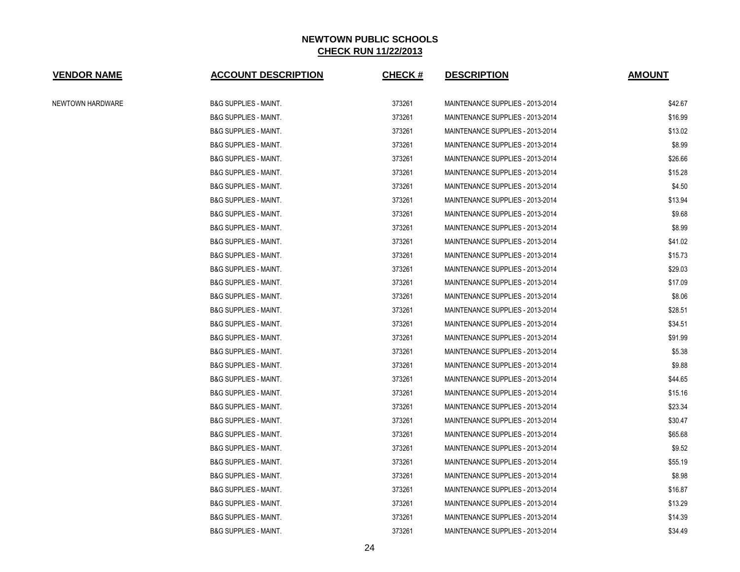| <b>VENDOR NAME</b> | <b>ACCOUNT DESCRIPTION</b>       | <b>CHECK#</b> | <b>DESCRIPTION</b>               | <b>AMOUNT</b> |
|--------------------|----------------------------------|---------------|----------------------------------|---------------|
| NEWTOWN HARDWARE   | <b>B&amp;G SUPPLIES - MAINT.</b> | 373261        | MAINTENANCE SUPPLIES - 2013-2014 | \$42.67       |
|                    | <b>B&amp;G SUPPLIES - MAINT.</b> | 373261        | MAINTENANCE SUPPLIES - 2013-2014 | \$16.99       |
|                    | <b>B&amp;G SUPPLIES - MAINT.</b> | 373261        | MAINTENANCE SUPPLIES - 2013-2014 | \$13.02       |
|                    | <b>B&amp;G SUPPLIES - MAINT.</b> | 373261        | MAINTENANCE SUPPLIES - 2013-2014 | \$8.99        |
|                    | <b>B&amp;G SUPPLIES - MAINT.</b> | 373261        | MAINTENANCE SUPPLIES - 2013-2014 | \$26.66       |
|                    | <b>B&amp;G SUPPLIES - MAINT.</b> | 373261        | MAINTENANCE SUPPLIES - 2013-2014 | \$15.28       |
|                    | <b>B&amp;G SUPPLIES - MAINT.</b> | 373261        | MAINTENANCE SUPPLIES - 2013-2014 | \$4.50        |
|                    | <b>B&amp;G SUPPLIES - MAINT.</b> | 373261        | MAINTENANCE SUPPLIES - 2013-2014 | \$13.94       |
|                    | <b>B&amp;G SUPPLIES - MAINT.</b> | 373261        | MAINTENANCE SUPPLIES - 2013-2014 | \$9.68        |
|                    | <b>B&amp;G SUPPLIES - MAINT.</b> | 373261        | MAINTENANCE SUPPLIES - 2013-2014 | \$8.99        |
|                    | <b>B&amp;G SUPPLIES - MAINT.</b> | 373261        | MAINTENANCE SUPPLIES - 2013-2014 | \$41.02       |
|                    | <b>B&amp;G SUPPLIES - MAINT.</b> | 373261        | MAINTENANCE SUPPLIES - 2013-2014 | \$15.73       |
|                    | <b>B&amp;G SUPPLIES - MAINT.</b> | 373261        | MAINTENANCE SUPPLIES - 2013-2014 | \$29.03       |
|                    | <b>B&amp;G SUPPLIES - MAINT.</b> | 373261        | MAINTENANCE SUPPLIES - 2013-2014 | \$17.09       |
|                    | <b>B&amp;G SUPPLIES - MAINT.</b> | 373261        | MAINTENANCE SUPPLIES - 2013-2014 | \$8.06        |
|                    | <b>B&amp;G SUPPLIES - MAINT.</b> | 373261        | MAINTENANCE SUPPLIES - 2013-2014 | \$28.51       |
|                    | <b>B&amp;G SUPPLIES - MAINT.</b> | 373261        | MAINTENANCE SUPPLIES - 2013-2014 | \$34.51       |
|                    | <b>B&amp;G SUPPLIES - MAINT.</b> | 373261        | MAINTENANCE SUPPLIES - 2013-2014 | \$91.99       |
|                    | <b>B&amp;G SUPPLIES - MAINT.</b> | 373261        | MAINTENANCE SUPPLIES - 2013-2014 | \$5.38        |
|                    | <b>B&amp;G SUPPLIES - MAINT.</b> | 373261        | MAINTENANCE SUPPLIES - 2013-2014 | \$9.88        |
|                    | <b>B&amp;G SUPPLIES - MAINT.</b> | 373261        | MAINTENANCE SUPPLIES - 2013-2014 | \$44.65       |
|                    | <b>B&amp;G SUPPLIES - MAINT.</b> | 373261        | MAINTENANCE SUPPLIES - 2013-2014 | \$15.16       |
|                    | <b>B&amp;G SUPPLIES - MAINT.</b> | 373261        | MAINTENANCE SUPPLIES - 2013-2014 | \$23.34       |
|                    | <b>B&amp;G SUPPLIES - MAINT.</b> | 373261        | MAINTENANCE SUPPLIES - 2013-2014 | \$30.47       |
|                    | <b>B&amp;G SUPPLIES - MAINT.</b> | 373261        | MAINTENANCE SUPPLIES - 2013-2014 | \$65.68       |
|                    | <b>B&amp;G SUPPLIES - MAINT.</b> | 373261        | MAINTENANCE SUPPLIES - 2013-2014 | \$9.52        |
|                    | <b>B&amp;G SUPPLIES - MAINT.</b> | 373261        | MAINTENANCE SUPPLIES - 2013-2014 | \$55.19       |
|                    | <b>B&amp;G SUPPLIES - MAINT.</b> | 373261        | MAINTENANCE SUPPLIES - 2013-2014 | \$8.98        |
|                    | <b>B&amp;G SUPPLIES - MAINT.</b> | 373261        | MAINTENANCE SUPPLIES - 2013-2014 | \$16.87       |
|                    | <b>B&amp;G SUPPLIES - MAINT.</b> | 373261        | MAINTENANCE SUPPLIES - 2013-2014 | \$13.29       |
|                    | <b>B&amp;G SUPPLIES - MAINT.</b> | 373261        | MAINTENANCE SUPPLIES - 2013-2014 | \$14.39       |
|                    | <b>B&amp;G SUPPLIES - MAINT.</b> | 373261        | MAINTENANCE SUPPLIES - 2013-2014 | \$34.49       |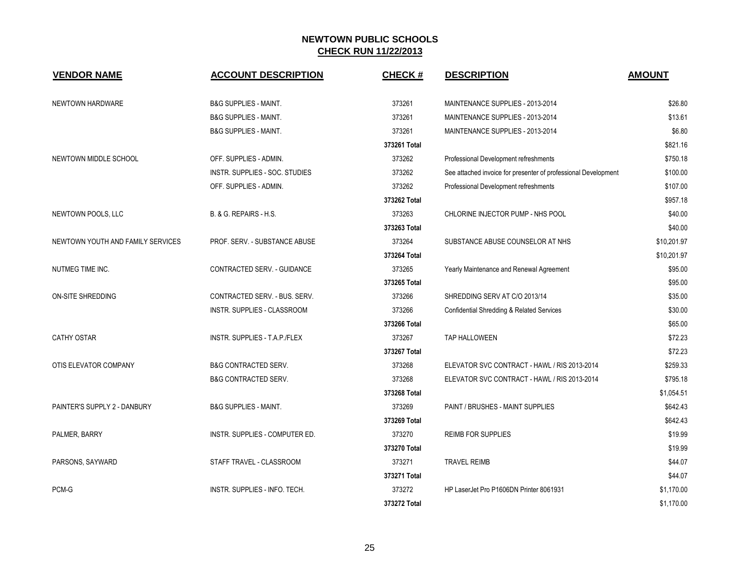| <b>VENDOR NAME</b>                | <b>ACCOUNT DESCRIPTION</b>       | <b>CHECK#</b> | <b>DESCRIPTION</b>                                             | <b>AMOUNT</b> |
|-----------------------------------|----------------------------------|---------------|----------------------------------------------------------------|---------------|
| NEWTOWN HARDWARE                  | B&G SUPPLIES - MAINT.            | 373261        | MAINTENANCE SUPPLIES - 2013-2014                               | \$26.80       |
|                                   | <b>B&amp;G SUPPLIES - MAINT.</b> | 373261        | MAINTENANCE SUPPLIES - 2013-2014                               | \$13.61       |
|                                   | <b>B&amp;G SUPPLIES - MAINT.</b> | 373261        | MAINTENANCE SUPPLIES - 2013-2014                               | \$6.80        |
|                                   |                                  | 373261 Total  |                                                                | \$821.16      |
| NEWTOWN MIDDLE SCHOOL             | OFF. SUPPLIES - ADMIN.           | 373262        | Professional Development refreshments                          | \$750.18      |
|                                   | INSTR. SUPPLIES - SOC. STUDIES   | 373262        | See attached invoice for presenter of professional Development | \$100.00      |
|                                   | OFF. SUPPLIES - ADMIN.           | 373262        | Professional Development refreshments                          | \$107.00      |
|                                   |                                  | 373262 Total  |                                                                | \$957.18      |
| NEWTOWN POOLS, LLC                | B. & G. REPAIRS - H.S.           | 373263        | CHLORINE INJECTOR PUMP - NHS POOL                              | \$40.00       |
|                                   |                                  | 373263 Total  |                                                                | \$40.00       |
| NEWTOWN YOUTH AND FAMILY SERVICES | PROF. SERV. - SUBSTANCE ABUSE    | 373264        | SUBSTANCE ABUSE COUNSELOR AT NHS                               | \$10,201.97   |
|                                   |                                  | 373264 Total  |                                                                | \$10,201.97   |
| NUTMEG TIME INC.                  | CONTRACTED SERV. - GUIDANCE      | 373265        | Yearly Maintenance and Renewal Agreement                       | \$95.00       |
|                                   |                                  | 373265 Total  |                                                                | \$95.00       |
| <b>ON-SITE SHREDDING</b>          | CONTRACTED SERV. - BUS. SERV.    | 373266        | SHREDDING SERV AT C/O 2013/14                                  | \$35.00       |
|                                   | INSTR. SUPPLIES - CLASSROOM      | 373266        | <b>Confidential Shredding &amp; Related Services</b>           | \$30.00       |
|                                   |                                  | 373266 Total  |                                                                | \$65.00       |
| <b>CATHY OSTAR</b>                | INSTR. SUPPLIES - T.A.P./FLEX    | 373267        | TAP HALLOWEEN                                                  | \$72.23       |
|                                   |                                  | 373267 Total  |                                                                | \$72.23       |
| OTIS ELEVATOR COMPANY             | <b>B&amp;G CONTRACTED SERV.</b>  | 373268        | ELEVATOR SVC CONTRACT - HAWL / RIS 2013-2014                   | \$259.33      |
|                                   | <b>B&amp;G CONTRACTED SERV.</b>  | 373268        | ELEVATOR SVC CONTRACT - HAWL / RIS 2013-2014                   | \$795.18      |
|                                   |                                  | 373268 Total  |                                                                | \$1,054.51    |
| PAINTER'S SUPPLY 2 - DANBURY      | <b>B&amp;G SUPPLIES - MAINT.</b> | 373269        | PAINT / BRUSHES - MAINT SUPPLIES                               | \$642.43      |
|                                   |                                  | 373269 Total  |                                                                | \$642.43      |
| PALMER, BARRY                     | INSTR. SUPPLIES - COMPUTER ED.   | 373270        | <b>REIMB FOR SUPPLIES</b>                                      | \$19.99       |
|                                   |                                  | 373270 Total  |                                                                | \$19.99       |
| PARSONS, SAYWARD                  | STAFF TRAVEL - CLASSROOM         | 373271        | <b>TRAVEL REIMB</b>                                            | \$44.07       |
|                                   |                                  | 373271 Total  |                                                                | \$44.07       |
| PCM-G                             | INSTR. SUPPLIES - INFO. TECH.    | 373272        | HP LaserJet Pro P1606DN Printer 8061931                        | \$1,170.00    |
|                                   |                                  | 373272 Total  |                                                                | \$1,170.00    |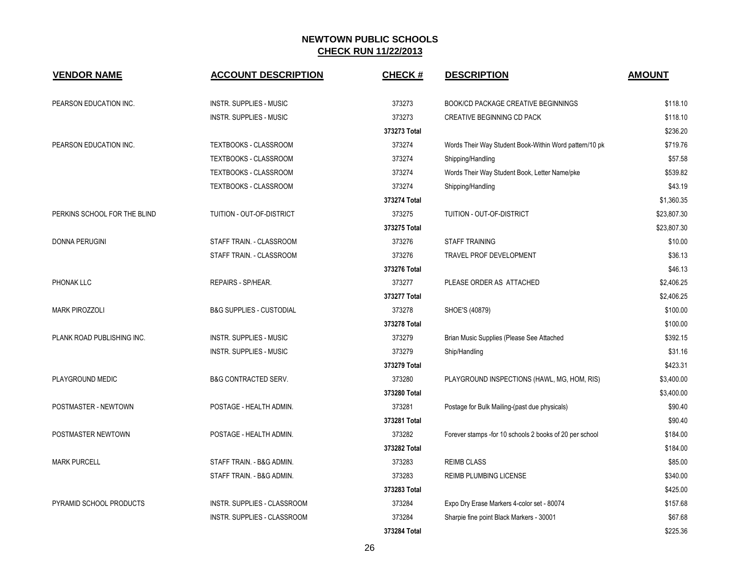| <b>VENDOR NAME</b>           | <b>ACCOUNT DESCRIPTION</b>          | <b>CHECK#</b> | <b>DESCRIPTION</b>                                       | <b>AMOUNT</b> |
|------------------------------|-------------------------------------|---------------|----------------------------------------------------------|---------------|
| PEARSON EDUCATION INC.       | <b>INSTR. SUPPLIES - MUSIC</b>      | 373273        | <b>BOOK/CD PACKAGE CREATIVE BEGINNINGS</b>               | \$118.10      |
|                              | <b>INSTR. SUPPLIES - MUSIC</b>      | 373273        | CREATIVE BEGINNING CD PACK                               | \$118.10      |
|                              |                                     | 373273 Total  |                                                          | \$236.20      |
| PEARSON EDUCATION INC.       | TEXTBOOKS - CLASSROOM               | 373274        | Words Their Way Student Book-Within Word pattern/10 pk   | \$719.76      |
|                              | <b>TEXTBOOKS - CLASSROOM</b>        | 373274        | Shipping/Handling                                        | \$57.58       |
|                              | TEXTBOOKS - CLASSROOM               | 373274        | Words Their Way Student Book, Letter Name/pke            | \$539.82      |
|                              | TEXTBOOKS - CLASSROOM               | 373274        | Shipping/Handling                                        | \$43.19       |
|                              |                                     | 373274 Total  |                                                          | \$1,360.35    |
| PERKINS SCHOOL FOR THE BLIND | TUITION - OUT-OF-DISTRICT           | 373275        | TUITION - OUT-OF-DISTRICT                                | \$23,807.30   |
|                              |                                     | 373275 Total  |                                                          | \$23,807.30   |
| <b>DONNA PERUGINI</b>        | STAFF TRAIN. - CLASSROOM            | 373276        | <b>STAFF TRAINING</b>                                    | \$10.00       |
|                              | STAFF TRAIN. - CLASSROOM            | 373276        | TRAVEL PROF DEVELOPMENT                                  | \$36.13       |
|                              |                                     | 373276 Total  |                                                          | \$46.13       |
| PHONAK LLC                   | REPAIRS - SP/HEAR.                  | 373277        | PLEASE ORDER AS ATTACHED                                 | \$2,406.25    |
|                              |                                     | 373277 Total  |                                                          | \$2,406.25    |
| <b>MARK PIROZZOLI</b>        | <b>B&amp;G SUPPLIES - CUSTODIAL</b> | 373278        | SHOE'S (40879)                                           | \$100.00      |
|                              |                                     | 373278 Total  |                                                          | \$100.00      |
| PLANK ROAD PUBLISHING INC.   | <b>INSTR. SUPPLIES - MUSIC</b>      | 373279        | Brian Music Supplies (Please See Attached                | \$392.15      |
|                              | <b>INSTR. SUPPLIES - MUSIC</b>      | 373279        | Ship/Handling                                            | \$31.16       |
|                              |                                     | 373279 Total  |                                                          | \$423.31      |
| PLAYGROUND MEDIC             | <b>B&amp;G CONTRACTED SERV.</b>     | 373280        | PLAYGROUND INSPECTIONS (HAWL, MG, HOM, RIS)              | \$3,400.00    |
|                              |                                     | 373280 Total  |                                                          | \$3,400.00    |
| POSTMASTER - NEWTOWN         | POSTAGE - HEALTH ADMIN.             | 373281        | Postage for Bulk Mailing-(past due physicals)            | \$90.40       |
|                              |                                     | 373281 Total  |                                                          | \$90.40       |
| POSTMASTER NEWTOWN           | POSTAGE - HEALTH ADMIN.             | 373282        | Forever stamps - for 10 schools 2 books of 20 per school | \$184.00      |
|                              |                                     | 373282 Total  |                                                          | \$184.00      |
| <b>MARK PURCELL</b>          | STAFF TRAIN. - B&G ADMIN.           | 373283        | <b>REIMB CLASS</b>                                       | \$85.00       |
|                              | STAFF TRAIN. - B&G ADMIN.           | 373283        | REIMB PLUMBING LICENSE                                   | \$340.00      |
|                              |                                     | 373283 Total  |                                                          | \$425.00      |
| PYRAMID SCHOOL PRODUCTS      | INSTR. SUPPLIES - CLASSROOM         | 373284        | Expo Dry Erase Markers 4-color set - 80074               | \$157.68      |
|                              | INSTR. SUPPLIES - CLASSROOM         | 373284        | Sharpie fine point Black Markers - 30001                 | \$67.68       |
|                              |                                     | 373284 Total  |                                                          | \$225.36      |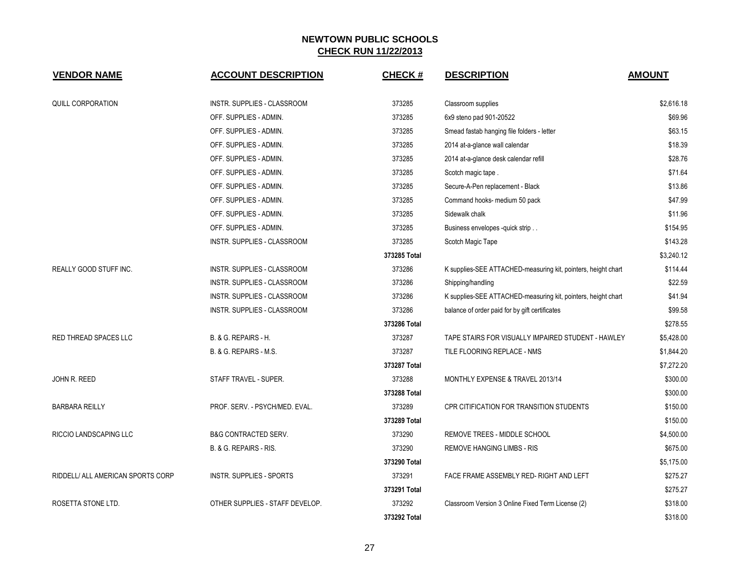| <b>VENDOR NAME</b>                | <b>ACCOUNT DESCRIPTION</b>      | <b>CHECK#</b> | <b>DESCRIPTION</b>                                            | <b>AMOUNT</b> |
|-----------------------------------|---------------------------------|---------------|---------------------------------------------------------------|---------------|
| <b>QUILL CORPORATION</b>          | INSTR. SUPPLIES - CLASSROOM     | 373285        | Classroom supplies                                            | \$2,616.18    |
|                                   | OFF. SUPPLIES - ADMIN.          | 373285        | 6x9 steno pad 901-20522                                       | \$69.96       |
|                                   | OFF. SUPPLIES - ADMIN.          | 373285        | Smead fastab hanging file folders - letter                    | \$63.15       |
|                                   | OFF. SUPPLIES - ADMIN.          | 373285        | 2014 at-a-glance wall calendar                                | \$18.39       |
|                                   | OFF. SUPPLIES - ADMIN.          | 373285        | 2014 at-a-glance desk calendar refill                         | \$28.76       |
|                                   | OFF. SUPPLIES - ADMIN.          | 373285        | Scotch magic tape.                                            | \$71.64       |
|                                   | OFF. SUPPLIES - ADMIN.          | 373285        | Secure-A-Pen replacement - Black                              | \$13.86       |
|                                   | OFF. SUPPLIES - ADMIN.          | 373285        | Command hooks- medium 50 pack                                 | \$47.99       |
|                                   | OFF. SUPPLIES - ADMIN.          | 373285        | Sidewalk chalk                                                | \$11.96       |
|                                   | OFF. SUPPLIES - ADMIN.          | 373285        | Business envelopes -quick strip                               | \$154.95      |
|                                   | INSTR. SUPPLIES - CLASSROOM     | 373285        | Scotch Magic Tape                                             | \$143.28      |
|                                   |                                 | 373285 Total  |                                                               | \$3,240.12    |
| <b>REALLY GOOD STUFF INC.</b>     | INSTR. SUPPLIES - CLASSROOM     | 373286        | K supplies-SEE ATTACHED-measuring kit, pointers, height chart | \$114.44      |
|                                   | INSTR. SUPPLIES - CLASSROOM     | 373286        | Shipping/handling                                             | \$22.59       |
|                                   | INSTR. SUPPLIES - CLASSROOM     | 373286        | K supplies-SEE ATTACHED-measuring kit, pointers, height chart | \$41.94       |
|                                   | INSTR. SUPPLIES - CLASSROOM     | 373286        | balance of order paid for by gift certificates                | \$99.58       |
|                                   |                                 | 373286 Total  |                                                               | \$278.55      |
| RED THREAD SPACES LLC             | B. & G. REPAIRS - H.            | 373287        | TAPE STAIRS FOR VISUALLY IMPAIRED STUDENT - HAWLEY            | \$5,428.00    |
|                                   | B. & G. REPAIRS - M.S.          | 373287        | TILE FLOORING REPLACE - NMS                                   | \$1,844.20    |
|                                   |                                 | 373287 Total  |                                                               | \$7,272.20    |
| JOHN R. REED                      | STAFF TRAVEL - SUPER.           | 373288        | MONTHLY EXPENSE & TRAVEL 2013/14                              | \$300.00      |
|                                   |                                 | 373288 Total  |                                                               | \$300.00      |
| <b>BARBARA REILLY</b>             | PROF. SERV. - PSYCH/MED. EVAL.  | 373289        | CPR CITIFICATION FOR TRANSITION STUDENTS                      | \$150.00      |
|                                   |                                 | 373289 Total  |                                                               | \$150.00      |
| RICCIO LANDSCAPING LLC            | <b>B&amp;G CONTRACTED SERV.</b> | 373290        | <b>REMOVE TREES - MIDDLE SCHOOL</b>                           | \$4,500.00    |
|                                   | B. & G. REPAIRS - RIS.          | 373290        | <b>REMOVE HANGING LIMBS - RIS</b>                             | \$675.00      |
|                                   |                                 | 373290 Total  |                                                               | \$5,175.00    |
| RIDDELL/ ALL AMERICAN SPORTS CORP | <b>INSTR. SUPPLIES - SPORTS</b> | 373291        | FACE FRAME ASSEMBLY RED- RIGHT AND LEFT                       | \$275.27      |
|                                   |                                 | 373291 Total  |                                                               | \$275.27      |
| ROSETTA STONE LTD.                | OTHER SUPPLIES - STAFF DEVELOP. | 373292        | Classroom Version 3 Online Fixed Term License (2)             | \$318.00      |
|                                   |                                 | 373292 Total  |                                                               | \$318.00      |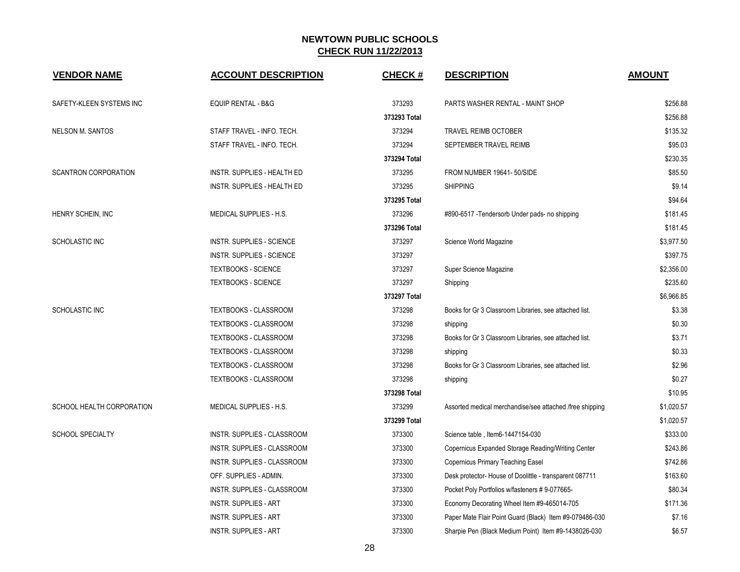| <b>VENDOR NAME</b>          | <b>ACCOUNT DESCRIPTION</b>       | <b>CHECK#</b> | <b>DESCRIPTION</b>                                       | <b>AMOUNT</b> |
|-----------------------------|----------------------------------|---------------|----------------------------------------------------------|---------------|
| SAFETY-KLEEN SYSTEMS INC    | <b>EQUIP RENTAL - B&amp;G</b>    | 373293        | PARTS WASHER RENTAL - MAINT SHOP                         | \$256.88      |
|                             |                                  | 373293 Total  |                                                          | \$256.88      |
| <b>NELSON M. SANTOS</b>     | STAFF TRAVEL - INFO. TECH.       | 373294        | <b>TRAVEL REIMB OCTOBER</b>                              | \$135.32      |
|                             | STAFF TRAVEL - INFO. TECH.       | 373294        | SEPTEMBER TRAVEL REIMB                                   | \$95.03       |
|                             |                                  | 373294 Total  |                                                          | \$230.35      |
| <b>SCANTRON CORPORATION</b> | INSTR. SUPPLIES - HEALTH ED      | 373295        | FROM NUMBER 19641-50/SIDE                                | \$85.50       |
|                             | INSTR. SUPPLIES - HEALTH ED      | 373295        | <b>SHIPPING</b>                                          | \$9.14        |
|                             |                                  | 373295 Total  |                                                          | \$94.64       |
| HENRY SCHEIN, INC           | MEDICAL SUPPLIES - H.S.          | 373296        | #890-6517 - Tendersorb Under pads- no shipping           | \$181.45      |
|                             |                                  | 373296 Total  |                                                          | \$181.45      |
| SCHOLASTIC INC              | <b>INSTR. SUPPLIES - SCIENCE</b> | 373297        | Science World Magazine                                   | \$3,977.50    |
|                             | <b>INSTR. SUPPLIES - SCIENCE</b> | 373297        |                                                          | \$397.75      |
|                             | <b>TEXTBOOKS - SCIENCE</b>       | 373297        | Super Science Magazine                                   | \$2,356.00    |
|                             | <b>TEXTBOOKS - SCIENCE</b>       | 373297        | Shipping                                                 | \$235.60      |
|                             |                                  | 373297 Total  |                                                          | \$6.966.85    |
| SCHOLASTIC INC              | TEXTBOOKS - CLASSROOM            | 373298        | Books for Gr 3 Classroom Libraries, see attached list.   | \$3.38        |
|                             | TEXTBOOKS - CLASSROOM            | 373298        | shipping                                                 | \$0.30        |
|                             | <b>TEXTBOOKS - CLASSROOM</b>     | 373298        | Books for Gr 3 Classroom Libraries, see attached list.   | \$3.71        |
|                             | <b>TEXTBOOKS - CLASSROOM</b>     | 373298        | shipping                                                 | \$0.33        |
|                             | <b>TEXTBOOKS - CLASSROOM</b>     | 373298        | Books for Gr 3 Classroom Libraries, see attached list.   | \$2.96        |
|                             | TEXTBOOKS - CLASSROOM            | 373298        | shipping                                                 | \$0.27        |
|                             |                                  | 373298 Total  |                                                          | \$10.95       |
| SCHOOL HEALTH CORPORATION   | MEDICAL SUPPLIES - H.S.          | 373299        | Assorted medical merchandise/see attached /free shipping | \$1,020.57    |
|                             |                                  | 373299 Total  |                                                          | \$1,020.57    |
| <b>SCHOOL SPECIALTY</b>     | INSTR. SUPPLIES - CLASSROOM      | 373300        | Science table, Item6-1447154-030                         | \$333.00      |
|                             | INSTR. SUPPLIES - CLASSROOM      | 373300        | Copernicus Expanded Storage Reading/Writing Center       | \$243.86      |
|                             | INSTR. SUPPLIES - CLASSROOM      | 373300        | Copernicus Primary Teaching Easel                        | \$742.86      |
|                             | OFF. SUPPLIES - ADMIN.           | 373300        | Desk protector- House of Doolittle - transparent 087711  | \$163.60      |
|                             | INSTR. SUPPLIES - CLASSROOM      | 373300        | Pocket Poly Portfolios w/fasteners #9-077665-            | \$80.34       |
|                             | <b>INSTR. SUPPLIES - ART</b>     | 373300        | Economy Decorating Wheel Item #9-465014-705              | \$171.36      |
|                             | <b>INSTR. SUPPLIES - ART</b>     | 373300        | Paper Mate Flair Point Guard (Black) Item #9-079486-030  | \$7.16        |
|                             | <b>INSTR. SUPPLIES - ART</b>     | 373300        | Sharpie Pen (Black Medium Point) Item #9-1438026-030     | \$6.57        |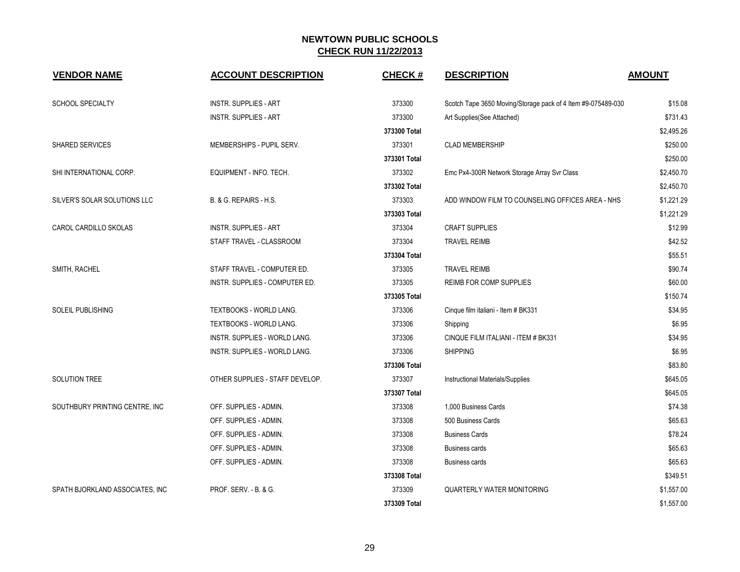| <b>VENDOR NAME</b>              | <b>ACCOUNT DESCRIPTION</b>      | <b>CHECK#</b> | <b>DESCRIPTION</b>                                           | <b>AMOUNT</b> |
|---------------------------------|---------------------------------|---------------|--------------------------------------------------------------|---------------|
| <b>SCHOOL SPECIALTY</b>         | <b>INSTR. SUPPLIES - ART</b>    | 373300        | Scotch Tape 3650 Moving/Storage pack of 4 Item #9-075489-030 | \$15.08       |
|                                 | <b>INSTR. SUPPLIES - ART</b>    | 373300        | Art Supplies(See Attached)                                   | \$731.43      |
|                                 |                                 | 373300 Total  |                                                              | \$2.495.26    |
| <b>SHARED SERVICES</b>          | MEMBERSHIPS - PUPIL SERV.       | 373301        | <b>CLAD MEMBERSHIP</b>                                       | \$250.00      |
|                                 |                                 | 373301 Total  |                                                              | \$250.00      |
| SHI INTERNATIONAL CORP.         | EQUIPMENT - INFO. TECH.         | 373302        | Emc Px4-300R Network Storage Array Svr Class                 | \$2,450.70    |
|                                 |                                 | 373302 Total  |                                                              | \$2,450.70    |
| SILVER'S SOLAR SOLUTIONS LLC    | B. & G. REPAIRS - H.S.          | 373303        | ADD WINDOW FILM TO COUNSELING OFFICES AREA - NHS             | \$1,221.29    |
|                                 |                                 | 373303 Total  |                                                              | \$1,221.29    |
| CAROL CARDILLO SKOLAS           | <b>INSTR. SUPPLIES - ART</b>    | 373304        | <b>CRAFT SUPPLIES</b>                                        | \$12.99       |
|                                 | STAFF TRAVEL - CLASSROOM        | 373304        | <b>TRAVEL REIMB</b>                                          | \$42.52       |
|                                 |                                 | 373304 Total  |                                                              | \$55.51       |
| SMITH, RACHEL                   | STAFF TRAVEL - COMPUTER ED.     | 373305        | <b>TRAVEL REIMB</b>                                          | \$90.74       |
|                                 | INSTR. SUPPLIES - COMPUTER ED.  | 373305        | REIMB FOR COMP SUPPLIES                                      | \$60.00       |
|                                 |                                 | 373305 Total  |                                                              | \$150.74      |
| SOLEIL PUBLISHING               | TEXTBOOKS - WORLD LANG.         | 373306        | Cinque film italiani - Item # BK331                          | \$34.95       |
|                                 | TEXTBOOKS - WORLD LANG.         | 373306        | Shipping                                                     | \$6.95        |
|                                 | INSTR. SUPPLIES - WORLD LANG.   | 373306        | CINQUE FILM ITALIANI - ITEM # BK331                          | \$34.95       |
|                                 | INSTR. SUPPLIES - WORLD LANG.   | 373306        | <b>SHIPPING</b>                                              | \$6.95        |
|                                 |                                 | 373306 Total  |                                                              | \$83.80       |
| <b>SOLUTION TREE</b>            | OTHER SUPPLIES - STAFF DEVELOP. | 373307        | Instructional Materials/Supplies                             | \$645.05      |
|                                 |                                 | 373307 Total  |                                                              | \$645.05      |
| SOUTHBURY PRINTING CENTRE, INC  | OFF. SUPPLIES - ADMIN.          | 373308        | 1,000 Business Cards                                         | \$74.38       |
|                                 | OFF. SUPPLIES - ADMIN.          | 373308        | 500 Business Cards                                           | \$65.63       |
|                                 | OFF. SUPPLIES - ADMIN.          | 373308        | <b>Business Cards</b>                                        | \$78.24       |
|                                 | OFF. SUPPLIES - ADMIN.          | 373308        | <b>Business cards</b>                                        | \$65.63       |
|                                 | OFF. SUPPLIES - ADMIN.          | 373308        | <b>Business cards</b>                                        | \$65.63       |
|                                 |                                 | 373308 Total  |                                                              | \$349.51      |
| SPATH BJORKLAND ASSOCIATES, INC | PROF. SERV. - B. & G.           | 373309        | <b>QUARTERLY WATER MONITORING</b>                            | \$1,557.00    |
|                                 |                                 | 373309 Total  |                                                              | \$1,557.00    |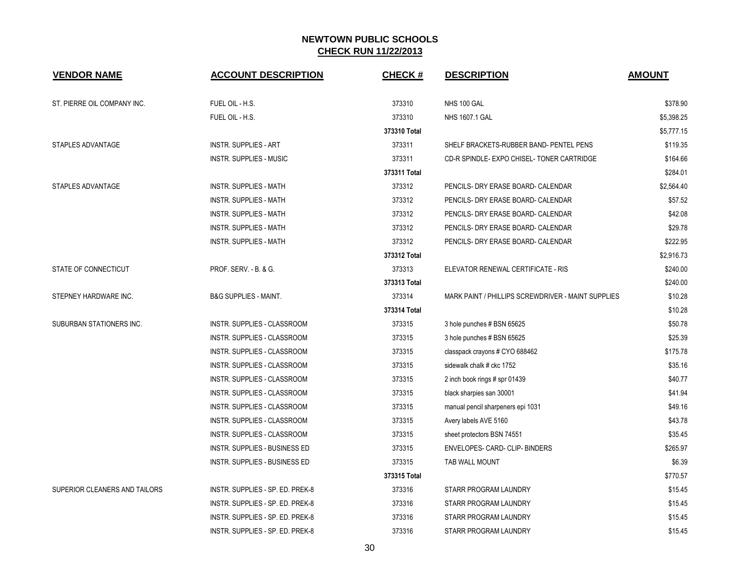| <b>VENDOR NAME</b>            | <b>ACCOUNT DESCRIPTION</b>           | <b>CHECK#</b> | <b>DESCRIPTION</b>                                 | <b>AMOUNT</b> |
|-------------------------------|--------------------------------------|---------------|----------------------------------------------------|---------------|
| ST. PIERRE OIL COMPANY INC.   | FUEL OIL - H.S.                      | 373310        | NHS 100 GAL                                        | \$378.90      |
|                               | FUEL OIL - H.S.                      | 373310        | <b>NHS 1607.1 GAL</b>                              | \$5.398.25    |
|                               |                                      | 373310 Total  |                                                    | \$5,777.15    |
| STAPLES ADVANTAGE             | <b>INSTR. SUPPLIES - ART</b>         | 373311        | SHELF BRACKETS-RUBBER BAND- PENTEL PENS            | \$119.35      |
|                               | INSTR. SUPPLIES - MUSIC              | 373311        | CD-R SPINDLE- EXPO CHISEL- TONER CARTRIDGE         | \$164.66      |
|                               |                                      | 373311 Total  |                                                    | \$284.01      |
| STAPLES ADVANTAGE             | <b>INSTR. SUPPLIES - MATH</b>        | 373312        | PENCILS- DRY ERASE BOARD- CALENDAR                 | \$2,564.40    |
|                               | <b>INSTR. SUPPLIES - MATH</b>        | 373312        | PENCILS- DRY ERASE BOARD- CALENDAR                 | \$57.52       |
|                               | INSTR. SUPPLIES - MATH               | 373312        | PENCILS- DRY ERASE BOARD- CALENDAR                 | \$42.08       |
|                               | <b>INSTR. SUPPLIES - MATH</b>        | 373312        | PENCILS- DRY ERASE BOARD- CALENDAR                 | \$29.78       |
|                               | <b>INSTR. SUPPLIES - MATH</b>        | 373312        | PENCILS- DRY ERASE BOARD- CALENDAR                 | \$222.95      |
|                               |                                      | 373312 Total  |                                                    | \$2,916.73    |
| STATE OF CONNECTICUT          | PROF. SERV. - B. & G.                | 373313        | ELEVATOR RENEWAL CERTIFICATE - RIS                 | \$240.00      |
|                               |                                      | 373313 Total  |                                                    | \$240.00      |
| STEPNEY HARDWARE INC.         | <b>B&amp;G SUPPLIES - MAINT.</b>     | 373314        | MARK PAINT / PHILLIPS SCREWDRIVER - MAINT SUPPLIES | \$10.28       |
|                               |                                      | 373314 Total  |                                                    | \$10.28       |
| SUBURBAN STATIONERS INC.      | INSTR. SUPPLIES - CLASSROOM          | 373315        | 3 hole punches # BSN 65625                         | \$50.78       |
|                               | INSTR. SUPPLIES - CLASSROOM          | 373315        | 3 hole punches # BSN 65625                         | \$25.39       |
|                               | INSTR. SUPPLIES - CLASSROOM          | 373315        | classpack crayons # CYO 688462                     | \$175.78      |
|                               | INSTR. SUPPLIES - CLASSROOM          | 373315        | sidewalk chalk # ckc 1752                          | \$35.16       |
|                               | INSTR. SUPPLIES - CLASSROOM          | 373315        | 2 inch book rings # spr 01439                      | \$40.77       |
|                               | INSTR. SUPPLIES - CLASSROOM          | 373315        | black sharpies san 30001                           | \$41.94       |
|                               | INSTR. SUPPLIES - CLASSROOM          | 373315        | manual pencil sharpeners epi 1031                  | \$49.16       |
|                               | INSTR. SUPPLIES - CLASSROOM          | 373315        | Avery labels AVE 5160                              | \$43.78       |
|                               | INSTR. SUPPLIES - CLASSROOM          | 373315        | sheet protectors BSN 74551                         | \$35.45       |
|                               | <b>INSTR. SUPPLIES - BUSINESS ED</b> | 373315        | ENVELOPES- CARD- CLIP- BINDERS                     | \$265.97      |
|                               | INSTR. SUPPLIES - BUSINESS ED        | 373315        | TAB WALL MOUNT                                     | \$6.39        |
|                               |                                      | 373315 Total  |                                                    | \$770.57      |
| SUPERIOR CLEANERS AND TAILORS | INSTR. SUPPLIES - SP. ED. PREK-8     | 373316        | STARR PROGRAM LAUNDRY                              | \$15.45       |
|                               | INSTR. SUPPLIES - SP. ED. PREK-8     | 373316        | STARR PROGRAM LAUNDRY                              | \$15.45       |
|                               | INSTR. SUPPLIES - SP. ED. PREK-8     | 373316        | STARR PROGRAM LAUNDRY                              | \$15.45       |
|                               | INSTR. SUPPLIES - SP. ED. PREK-8     | 373316        | STARR PROGRAM LAUNDRY                              | \$15.45       |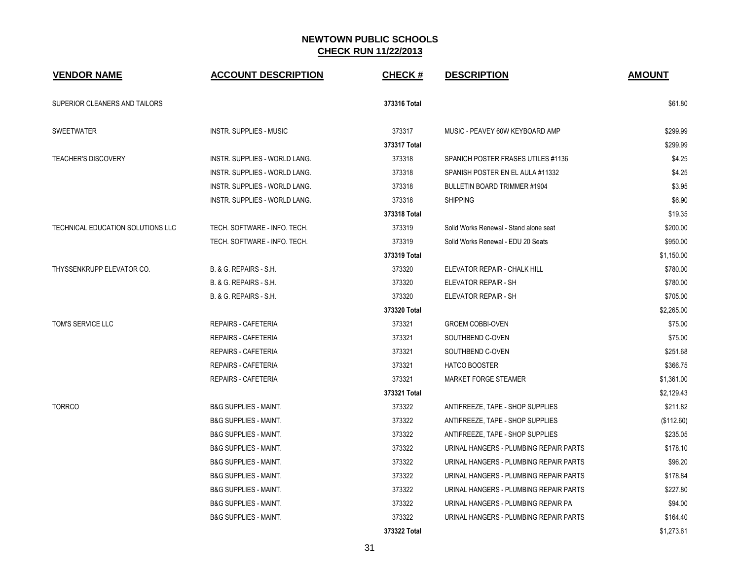| <b>VENDOR NAME</b>                | <b>ACCOUNT DESCRIPTION</b>           | <b>CHECK#</b> | <b>DESCRIPTION</b>                     | <b>AMOUNT</b> |
|-----------------------------------|--------------------------------------|---------------|----------------------------------------|---------------|
| SUPERIOR CLEANERS AND TAILORS     |                                      | 373316 Total  |                                        | \$61.80       |
| <b>SWEETWATER</b>                 | <b>INSTR. SUPPLIES - MUSIC</b>       | 373317        | MUSIC - PEAVEY 60W KEYBOARD AMP        | \$299.99      |
|                                   |                                      | 373317 Total  |                                        | \$299.99      |
| <b>TEACHER'S DISCOVERY</b>        | INSTR. SUPPLIES - WORLD LANG.        | 373318        | SPANICH POSTER FRASES UTILES #1136     | \$4.25        |
|                                   | <b>INSTR. SUPPLIES - WORLD LANG.</b> | 373318        | SPANISH POSTER EN EL AULA #11332       | \$4.25        |
|                                   | <b>INSTR. SUPPLIES - WORLD LANG.</b> | 373318        | <b>BULLETIN BOARD TRIMMER #1904</b>    | \$3.95        |
|                                   | INSTR. SUPPLIES - WORLD LANG.        | 373318        | <b>SHIPPING</b>                        | \$6.90        |
|                                   |                                      | 373318 Total  |                                        | \$19.35       |
| TECHNICAL EDUCATION SOLUTIONS LLC | TECH. SOFTWARE - INFO. TECH.         | 373319        | Solid Works Renewal - Stand alone seat | \$200.00      |
|                                   | TECH. SOFTWARE - INFO. TECH.         | 373319        | Solid Works Renewal - EDU 20 Seats     | \$950.00      |
|                                   |                                      | 373319 Total  |                                        | \$1,150.00    |
| THYSSENKRUPP ELEVATOR CO.         | B. & G. REPAIRS - S.H.               | 373320        | ELEVATOR REPAIR - CHALK HILL           | \$780.00      |
|                                   | B. & G. REPAIRS - S.H.               | 373320        | ELEVATOR REPAIR - SH                   | \$780.00      |
|                                   | B. & G. REPAIRS - S.H.               | 373320        | ELEVATOR REPAIR - SH                   | \$705.00      |
|                                   |                                      | 373320 Total  |                                        | \$2,265.00    |
| TOM'S SERVICE LLC                 | <b>REPAIRS - CAFETERIA</b>           | 373321        | <b>GROEM COBBI-OVEN</b>                | \$75.00       |
|                                   | <b>REPAIRS - CAFETERIA</b>           | 373321        | SOUTHBEND C-OVEN                       | \$75.00       |
|                                   | <b>REPAIRS - CAFETERIA</b>           | 373321        | SOUTHBEND C-OVEN                       | \$251.68      |
|                                   | <b>REPAIRS - CAFETERIA</b>           | 373321        | <b>HATCO BOOSTER</b>                   | \$366.75      |
|                                   | <b>REPAIRS - CAFETERIA</b>           | 373321        | MARKET FORGE STEAMER                   | \$1,361.00    |
|                                   |                                      | 373321 Total  |                                        | \$2,129.43    |
| <b>TORRCO</b>                     | <b>B&amp;G SUPPLIES - MAINT.</b>     | 373322        | ANTIFREEZE, TAPE - SHOP SUPPLIES       | \$211.82      |
|                                   | <b>B&amp;G SUPPLIES - MAINT.</b>     | 373322        | ANTIFREEZE, TAPE - SHOP SUPPLIES       | (\$112.60)    |
|                                   | <b>B&amp;G SUPPLIES - MAINT.</b>     | 373322        | ANTIFREEZE, TAPE - SHOP SUPPLIES       | \$235.05      |
|                                   | <b>B&amp;G SUPPLIES - MAINT.</b>     | 373322        | URINAL HANGERS - PLUMBING REPAIR PARTS | \$178.10      |
|                                   | <b>B&amp;G SUPPLIES - MAINT.</b>     | 373322        | URINAL HANGERS - PLUMBING REPAIR PARTS | \$96.20       |
|                                   | <b>B&amp;G SUPPLIES - MAINT.</b>     | 373322        | URINAL HANGERS - PLUMBING REPAIR PARTS | \$178.84      |
|                                   | <b>B&amp;G SUPPLIES - MAINT.</b>     | 373322        | URINAL HANGERS - PLUMBING REPAIR PARTS | \$227.80      |
|                                   | <b>B&amp;G SUPPLIES - MAINT.</b>     | 373322        | URINAL HANGERS - PLUMBING REPAIR PA    | \$94.00       |
|                                   | <b>B&amp;G SUPPLIES - MAINT.</b>     | 373322        | URINAL HANGERS - PLUMBING REPAIR PARTS | \$164.40      |
|                                   |                                      | 373322 Total  |                                        | \$1,273.61    |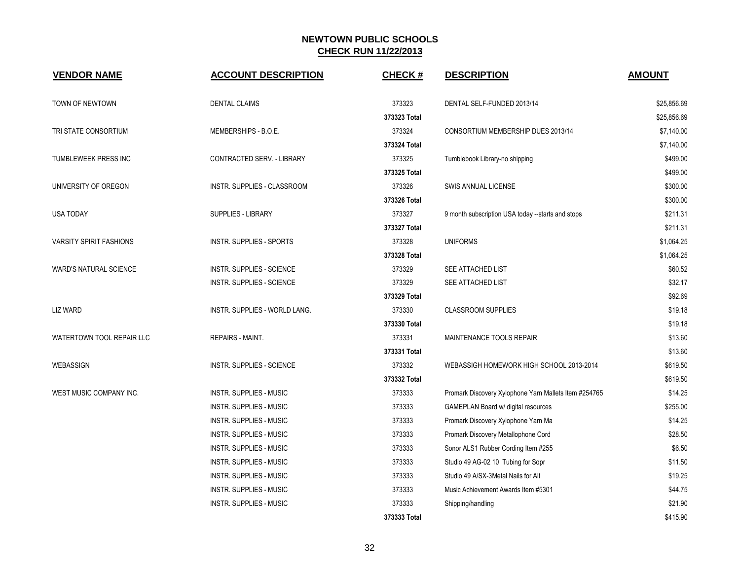| <b>VENDOR NAME</b>             | <b>ACCOUNT DESCRIPTION</b>       | <b>CHECK#</b> | <b>DESCRIPTION</b>                                    | <b>AMOUNT</b> |
|--------------------------------|----------------------------------|---------------|-------------------------------------------------------|---------------|
| TOWN OF NEWTOWN                | <b>DENTAL CLAIMS</b>             | 373323        | DENTAL SELF-FUNDED 2013/14                            | \$25,856.69   |
|                                |                                  | 373323 Total  |                                                       | \$25,856.69   |
| TRI STATE CONSORTIUM           | MEMBERSHIPS - B.O.E.             | 373324        | CONSORTIUM MEMBERSHIP DUES 2013/14                    | \$7,140.00    |
|                                |                                  | 373324 Total  |                                                       | \$7,140.00    |
| TUMBLEWEEK PRESS INC           | CONTRACTED SERV. - LIBRARY       | 373325        | Tumblebook Library-no shipping                        | \$499.00      |
|                                |                                  | 373325 Total  |                                                       | \$499.00      |
| UNIVERSITY OF OREGON           | INSTR. SUPPLIES - CLASSROOM      | 373326        | SWIS ANNUAL LICENSE                                   | \$300.00      |
|                                |                                  | 373326 Total  |                                                       | \$300.00      |
| <b>USA TODAY</b>               | <b>SUPPLIES - LIBRARY</b>        | 373327        | 9 month subscription USA today --starts and stops     | \$211.31      |
|                                |                                  | 373327 Total  |                                                       | \$211.31      |
| <b>VARSITY SPIRIT FASHIONS</b> | <b>INSTR. SUPPLIES - SPORTS</b>  | 373328        | <b>UNIFORMS</b>                                       | \$1,064.25    |
|                                |                                  | 373328 Total  |                                                       | \$1,064.25    |
| <b>WARD'S NATURAL SCIENCE</b>  | <b>INSTR. SUPPLIES - SCIENCE</b> | 373329        | SEE ATTACHED LIST                                     | \$60.52       |
|                                | <b>INSTR. SUPPLIES - SCIENCE</b> | 373329        | SEE ATTACHED LIST                                     | \$32.17       |
|                                |                                  | 373329 Total  |                                                       | \$92.69       |
| <b>LIZ WARD</b>                | INSTR. SUPPLIES - WORLD LANG.    | 373330        | <b>CLASSROOM SUPPLIES</b>                             | \$19.18       |
|                                |                                  | 373330 Total  |                                                       | \$19.18       |
| WATERTOWN TOOL REPAIR LLC      | <b>REPAIRS - MAINT.</b>          | 373331        | MAINTENANCE TOOLS REPAIR                              | \$13.60       |
|                                |                                  | 373331 Total  |                                                       | \$13.60       |
| WEBASSIGN                      | <b>INSTR. SUPPLIES - SCIENCE</b> | 373332        | WEBASSIGH HOMEWORK HIGH SCHOOL 2013-2014              | \$619.50      |
|                                |                                  | 373332 Total  |                                                       | \$619.50      |
| WEST MUSIC COMPANY INC.        | INSTR. SUPPLIES - MUSIC          | 373333        | Promark Discovery Xylophone Yarn Mallets Item #254765 | \$14.25       |
|                                | <b>INSTR. SUPPLIES - MUSIC</b>   | 373333        | GAMEPLAN Board w/ digital resources                   | \$255.00      |
|                                | <b>INSTR. SUPPLIES - MUSIC</b>   | 373333        | Promark Discovery Xylophone Yarn Ma                   | \$14.25       |
|                                | <b>INSTR. SUPPLIES - MUSIC</b>   | 373333        | Promark Discovery Metallophone Cord                   | \$28.50       |
|                                | <b>INSTR. SUPPLIES - MUSIC</b>   | 373333        | Sonor ALS1 Rubber Cording Item #255                   | \$6.50        |
|                                | <b>INSTR. SUPPLIES - MUSIC</b>   | 373333        | Studio 49 AG-02 10 Tubing for Sopr                    | \$11.50       |
|                                | INSTR. SUPPLIES - MUSIC          | 373333        | Studio 49 A/SX-3Metal Nails for Alt                   | \$19.25       |
|                                | <b>INSTR. SUPPLIES - MUSIC</b>   | 373333        | Music Achievement Awards Item #5301                   | \$44.75       |
|                                | INSTR. SUPPLIES - MUSIC          | 373333        | Shipping/handling                                     | \$21.90       |
|                                |                                  | 373333 Total  |                                                       | \$415.90      |